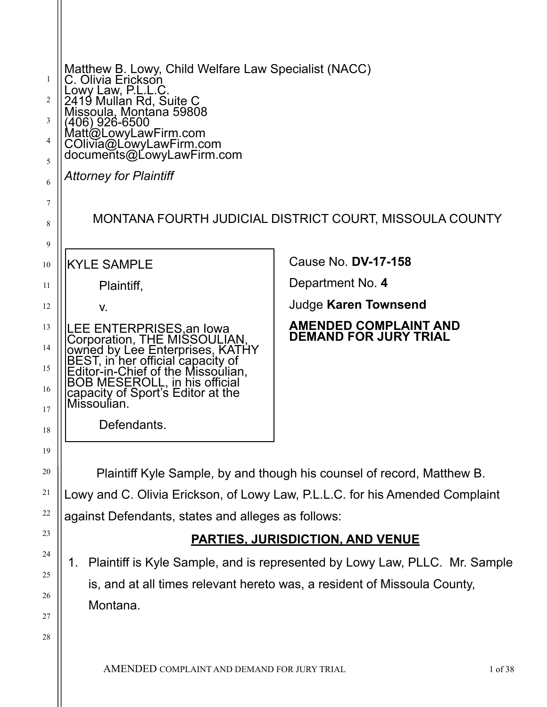| 1<br>2<br>3<br>4<br>5<br>6 | Matthew B. Lowy, Child Welfare Law Specialist (NACC)<br>C. Olivia Erickson<br>Lowy Law, P.L.L.C.<br>2419 Mullan Rd, Suite C<br>Missoula, Montana 59808<br>(406) 926-6500<br>Matt@LowyLawFirm.com<br>COlivia@LowyLawFirm.com<br>documents@LowyLawFirm.com<br><b>Attorney for Plaintiff</b> |                                                              |
|----------------------------|-------------------------------------------------------------------------------------------------------------------------------------------------------------------------------------------------------------------------------------------------------------------------------------------|--------------------------------------------------------------|
| 7<br>8<br>9                |                                                                                                                                                                                                                                                                                           | MONTANA FOURTH JUDICIAL DISTRICT COURT, MISSOULA COUNTY      |
| 10                         | <b>KYLE SAMPLE</b>                                                                                                                                                                                                                                                                        | Cause No. <b>DV-17-158</b>                                   |
| 11                         | Plaintiff,                                                                                                                                                                                                                                                                                | Department No. 4                                             |
| 12                         | V.                                                                                                                                                                                                                                                                                        | <b>Judge Karen Townsend</b>                                  |
| 13<br>14<br>15<br>16<br>17 | LEE ENTERPRISES, an Iowa<br>Corporation, THE MISSOULIAN<br>Solomon by Lee Enterprises, KATHY<br>BEST, in her official capacity of<br>Editor-in-Chief of the Missoulian,<br>BOB MESEROLL, in his official<br>capacity of Sport's Editor at the<br>Missoulian.                              | <b>AMENDED COMPLAINT AND</b><br><b>DEMAND FOR JURY TRIAL</b> |
| 18                         | Defendants                                                                                                                                                                                                                                                                                |                                                              |
| 19                         |                                                                                                                                                                                                                                                                                           |                                                              |
| 20                         | Plaintiff Kyle Sample, by and though his counsel of record, Matthew B.                                                                                                                                                                                                                    |                                                              |
| 21                         | Lowy and C. Olivia Erickson, of Lowy Law, P.L.L.C. for his Amended Complaint                                                                                                                                                                                                              |                                                              |
| 22                         | against Defendants, states and alleges as follows:                                                                                                                                                                                                                                        |                                                              |
| 23                         | <b>PARTIES, JURISDICTION, AND VENUE</b>                                                                                                                                                                                                                                                   |                                                              |
| 24                         | Plaintiff is Kyle Sample, and is represented by Lowy Law, PLLC. Mr. Sample<br>1.                                                                                                                                                                                                          |                                                              |
| 25<br>26                   | is, and at all times relevant hereto was, a resident of Missoula County,                                                                                                                                                                                                                  |                                                              |
| 27                         | Montana.                                                                                                                                                                                                                                                                                  |                                                              |
| 28                         |                                                                                                                                                                                                                                                                                           |                                                              |
|                            |                                                                                                                                                                                                                                                                                           |                                                              |
|                            | A MENDED COMPLAINT AND DEMAND EOP HIPV TPLAL                                                                                                                                                                                                                                              | $1^{\circ}$ f 20                                             |

AMENDED COMPLAINT AND DEMAND FOR JURY TRIAL 1 of 38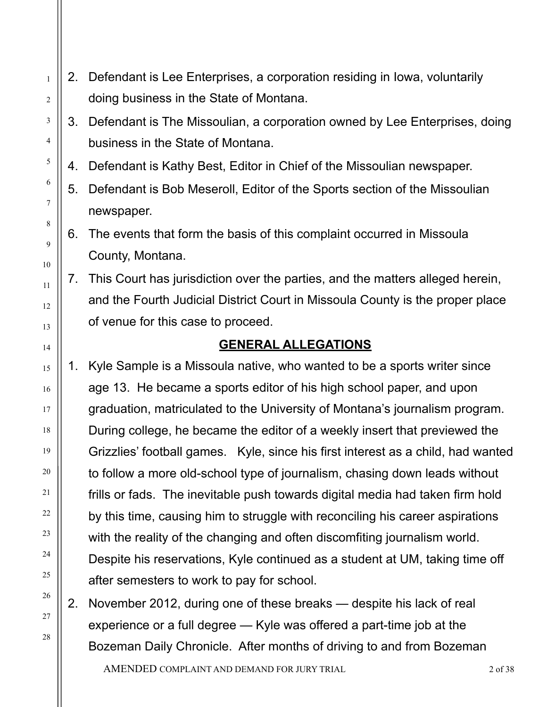2. Defendant is Lee Enterprises, a corporation residing in Iowa, voluntarily doing business in the State of Montana.

1

2

3

4

5

6

7

8

9

10

11

12

13

14

15

16

17

18

19

20

21

22

23

24

25

26

27

28

- 3. Defendant is The Missoulian, a corporation owned by Lee Enterprises, doing business in the State of Montana.
- 4. Defendant is Kathy Best, Editor in Chief of the Missoulian newspaper.
- 5. Defendant is Bob Meseroll, Editor of the Sports section of the Missoulian newspaper.
- 6. The events that form the basis of this complaint occurred in Missoula County, Montana.
- 7. This Court has jurisdiction over the parties, and the matters alleged herein, and the Fourth Judicial District Court in Missoula County is the proper place of venue for this case to proceed.

## **GENERAL ALLEGATIONS**

- 1. Kyle Sample is a Missoula native, who wanted to be a sports writer since age 13. He became a sports editor of his high school paper, and upon graduation, matriculated to the University of Montana's journalism program. During college, he became the editor of a weekly insert that previewed the Grizzlies' football games. Kyle, since his first interest as a child, had wanted to follow a more old-school type of journalism, chasing down leads without frills or fads. The inevitable push towards digital media had taken firm hold by this time, causing him to struggle with reconciling his career aspirations with the reality of the changing and often discomfiting journalism world. Despite his reservations, Kyle continued as a student at UM, taking time off after semesters to work to pay for school.
- 2. November 2012, during one of these breaks despite his lack of real experience or a full degree — Kyle was offered a part-time job at the Bozeman Daily Chronicle. After months of driving to and from Bozeman

AMENDED COMPLAINT AND DEMAND FOR JURY TRIAL 2 of 38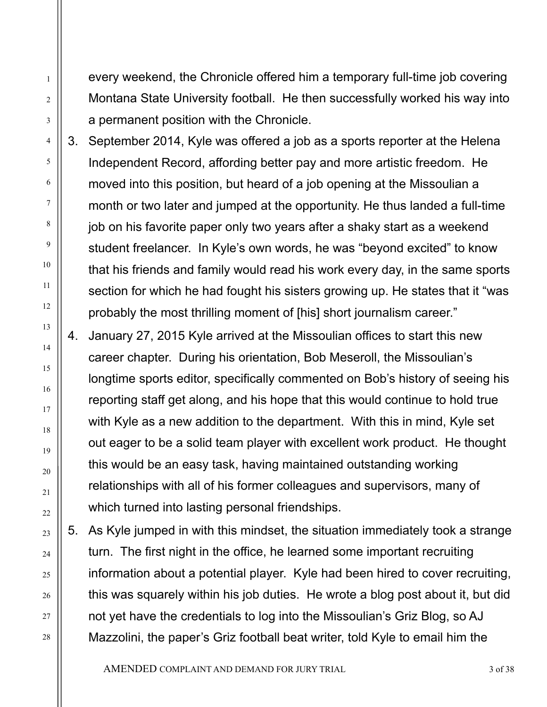every weekend, the Chronicle offered him a temporary full-time job covering Montana State University football. He then successfully worked his way into a permanent position with the Chronicle.

1

2

3

4

5

6

7

8

9

10

11

12

13

14

15

16

17

18

19

20

21

22

23

24

25

26

27

28

3. September 2014, Kyle was offered a job as a sports reporter at the Helena Independent Record, affording better pay and more artistic freedom. He moved into this position, but heard of a job opening at the Missoulian a month or two later and jumped at the opportunity. He thus landed a full-time job on his favorite paper only two years after a shaky start as a weekend student freelancer. In Kyle's own words, he was "beyond excited" to know that his friends and family would read his work every day, in the same sports section for which he had fought his sisters growing up. He states that it "was probably the most thrilling moment of [his] short journalism career."

- 4. January 27, 2015 Kyle arrived at the Missoulian offices to start this new career chapter. During his orientation, Bob Meseroll, the Missoulian's longtime sports editor, specifically commented on Bob's history of seeing his reporting staff get along, and his hope that this would continue to hold true with Kyle as a new addition to the department. With this in mind, Kyle set out eager to be a solid team player with excellent work product. He thought this would be an easy task, having maintained outstanding working relationships with all of his former colleagues and supervisors, many of which turned into lasting personal friendships.
- 5. As Kyle jumped in with this mindset, the situation immediately took a strange turn. The first night in the office, he learned some important recruiting information about a potential player. Kyle had been hired to cover recruiting, this was squarely within his job duties. He wrote a blog post about it, but did not yet have the credentials to log into the Missoulian's Griz Blog, so AJ Mazzolini, the paper's Griz football beat writer, told Kyle to email him the

AMENDED COMPLAINT AND DEMAND FOR JURY TRIAL 3 of 38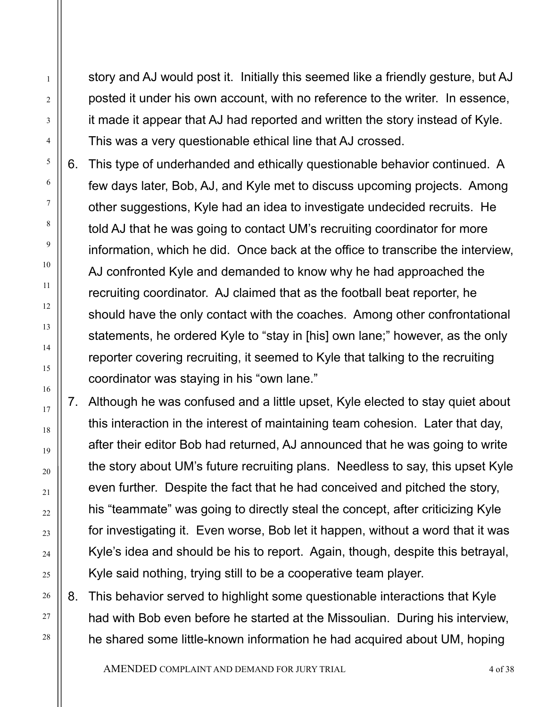story and AJ would post it. Initially this seemed like a friendly gesture, but AJ posted it under his own account, with no reference to the writer. In essence, it made it appear that AJ had reported and written the story instead of Kyle. This was a very questionable ethical line that AJ crossed.

6. This type of underhanded and ethically questionable behavior continued. A few days later, Bob, AJ, and Kyle met to discuss upcoming projects. Among other suggestions, Kyle had an idea to investigate undecided recruits. He told AJ that he was going to contact UM's recruiting coordinator for more information, which he did. Once back at the office to transcribe the interview, AJ confronted Kyle and demanded to know why he had approached the recruiting coordinator. AJ claimed that as the football beat reporter, he should have the only contact with the coaches. Among other confrontational statements, he ordered Kyle to "stay in [his] own lane;" however, as the only reporter covering recruiting, it seemed to Kyle that talking to the recruiting coordinator was staying in his "own lane."

7. Although he was confused and a little upset, Kyle elected to stay quiet about this interaction in the interest of maintaining team cohesion. Later that day, after their editor Bob had returned, AJ announced that he was going to write the story about UM's future recruiting plans. Needless to say, this upset Kyle even further. Despite the fact that he had conceived and pitched the story, his "teammate" was going to directly steal the concept, after criticizing Kyle for investigating it. Even worse, Bob let it happen, without a word that it was Kyle's idea and should be his to report. Again, though, despite this betrayal, Kyle said nothing, trying still to be a cooperative team player.

8. This behavior served to highlight some questionable interactions that Kyle had with Bob even before he started at the Missoulian. During his interview, he shared some little-known information he had acquired about UM, hoping

AMENDED COMPLAINT AND DEMAND FOR JURY TRIAL 4 of 38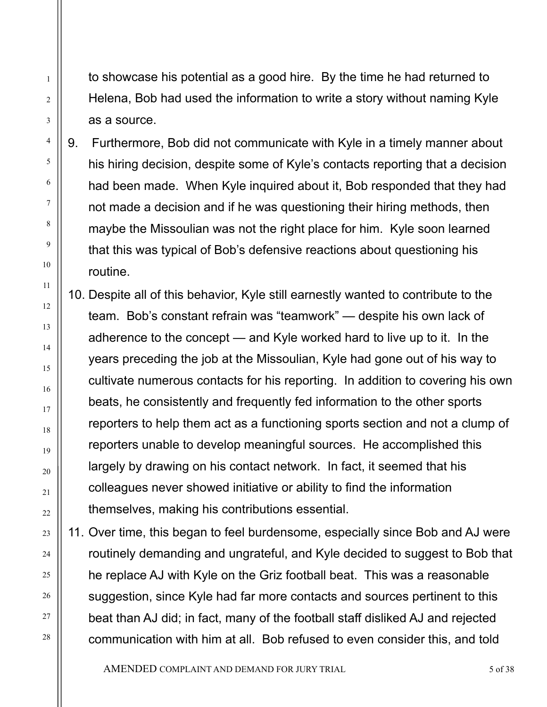to showcase his potential as a good hire. By the time he had returned to Helena, Bob had used the information to write a story without naming Kyle as a source.

1

2

3

4

5

6

7

8

9

10

11

12

13

14

15

16

17

18

19

20

21

 $22$ 

23

24

25

26

27

28

9. Furthermore, Bob did not communicate with Kyle in a timely manner about his hiring decision, despite some of Kyle's contacts reporting that a decision had been made. When Kyle inquired about it, Bob responded that they had not made a decision and if he was questioning their hiring methods, then maybe the Missoulian was not the right place for him. Kyle soon learned that this was typical of Bob's defensive reactions about questioning his routine.

10. Despite all of this behavior, Kyle still earnestly wanted to contribute to the team. Bob's constant refrain was "teamwork" — despite his own lack of adherence to the concept — and Kyle worked hard to live up to it. In the years preceding the job at the Missoulian, Kyle had gone out of his way to cultivate numerous contacts for his reporting. In addition to covering his own beats, he consistently and frequently fed information to the other sports reporters to help them act as a functioning sports section and not a clump of reporters unable to develop meaningful sources. He accomplished this largely by drawing on his contact network. In fact, it seemed that his colleagues never showed initiative or ability to find the information themselves, making his contributions essential.

11. Over time, this began to feel burdensome, especially since Bob and AJ were routinely demanding and ungrateful, and Kyle decided to suggest to Bob that he replace AJ with Kyle on the Griz football beat. This was a reasonable suggestion, since Kyle had far more contacts and sources pertinent to this beat than AJ did; in fact, many of the football staff disliked AJ and rejected communication with him at all. Bob refused to even consider this, and told

AMENDED COMPLAINT AND DEMAND FOR JURY TRIAL 5 of 38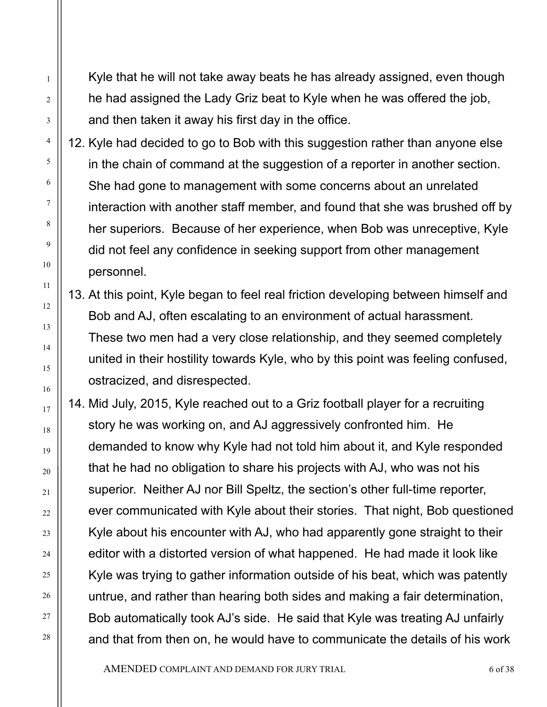Kyle that he will not take away beats he has already assigned, even though he had assigned the Lady Griz beat to Kyle when he was offered the job, and then taken it away his first day in the office.

1

2

3

4

5

6

7

8

9

10

11

12

13

14

15

16

17

18

19

20

21

 $22$ 

23

24

25

26

27

28

12. Kyle had decided to go to Bob with this suggestion rather than anyone else in the chain of command at the suggestion of a reporter in another section. She had gone to management with some concerns about an unrelated interaction with another staff member, and found that she was brushed off by her superiors. Because of her experience, when Bob was unreceptive, Kyle did not feel any confidence in seeking support from other management personnel.

13. At this point, Kyle began to feel real friction developing between himself and Bob and AJ, often escalating to an environment of actual harassment. These two men had a very close relationship, and they seemed completely united in their hostility towards Kyle, who by this point was feeling confused, ostracized, and disrespected.

14. Mid July, 2015, Kyle reached out to a Griz football player for a recruiting story he was working on, and AJ aggressively confronted him. He demanded to know why Kyle had not told him about it, and Kyle responded that he had no obligation to share his projects with AJ, who was not his superior. Neither AJ nor Bill Speltz, the section's other full-time reporter, ever communicated with Kyle about their stories. That night, Bob questioned Kyle about his encounter with AJ, who had apparently gone straight to their editor with a distorted version of what happened. He had made it look like Kyle was trying to gather information outside of his beat, which was patently untrue, and rather than hearing both sides and making a fair determination, Bob automatically took AJ's side. He said that Kyle was treating AJ unfairly and that from then on, he would have to communicate the details of his work

AMENDED COMPLAINT AND DEMAND FOR JURY TRIAL 6 of 38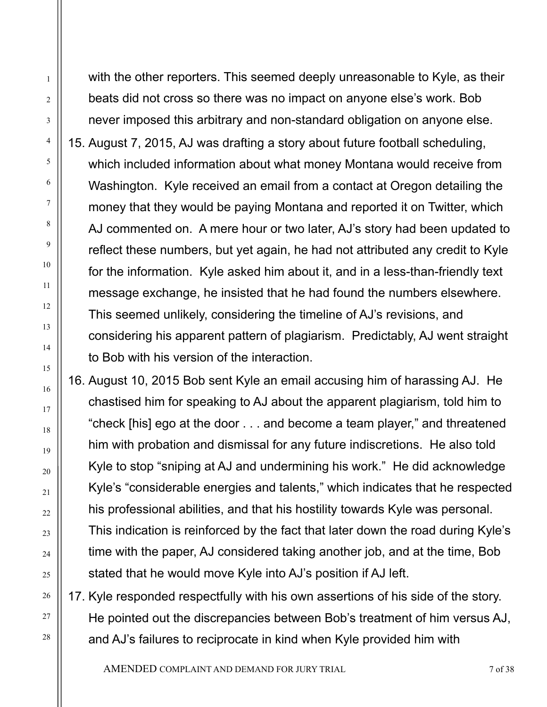with the other reporters. This seemed deeply unreasonable to Kyle, as their beats did not cross so there was no impact on anyone else's work. Bob never imposed this arbitrary and non-standard obligation on anyone else.

1

2

3

4

5

6

7

8

9

10

11

12

13

14

15

16

17

18

19

20

21

 $22$ 

23

24

25

26

27

28

15. August 7, 2015, AJ was drafting a story about future football scheduling, which included information about what money Montana would receive from Washington. Kyle received an email from a contact at Oregon detailing the money that they would be paying Montana and reported it on Twitter, which AJ commented on. A mere hour or two later, AJ's story had been updated to reflect these numbers, but yet again, he had not attributed any credit to Kyle for the information. Kyle asked him about it, and in a less-than-friendly text message exchange, he insisted that he had found the numbers elsewhere. This seemed unlikely, considering the timeline of AJ's revisions, and considering his apparent pattern of plagiarism. Predictably, AJ went straight to Bob with his version of the interaction.

16. August 10, 2015 Bob sent Kyle an email accusing him of harassing AJ. He chastised him for speaking to AJ about the apparent plagiarism, told him to "check [his] ego at the door . . . and become a team player," and threatened him with probation and dismissal for any future indiscretions. He also told Kyle to stop "sniping at AJ and undermining his work." He did acknowledge Kyle's "considerable energies and talents," which indicates that he respected his professional abilities, and that his hostility towards Kyle was personal. This indication is reinforced by the fact that later down the road during Kyle's time with the paper, AJ considered taking another job, and at the time, Bob stated that he would move Kyle into AJ's position if AJ left.

17. Kyle responded respectfully with his own assertions of his side of the story. He pointed out the discrepancies between Bob's treatment of him versus AJ, and AJ's failures to reciprocate in kind when Kyle provided him with

AMENDED COMPLAINT AND DEMAND FOR JURY TRIAL 7 of 38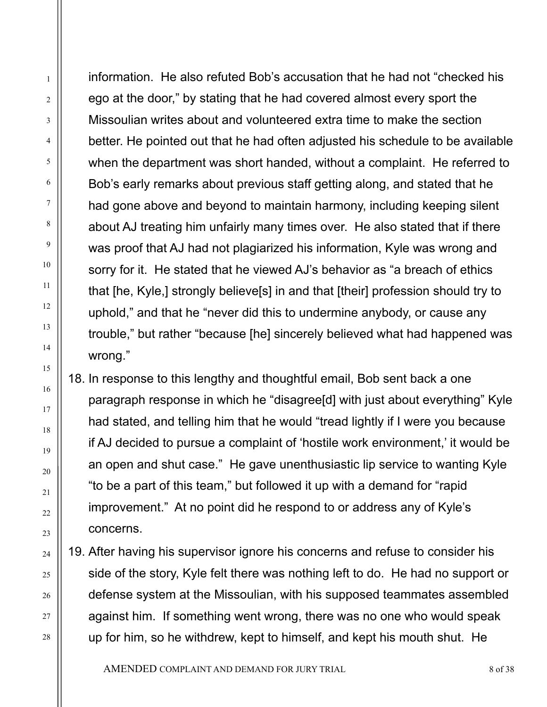information. He also refuted Bob's accusation that he had not "checked his ego at the door," by stating that he had covered almost every sport the Missoulian writes about and volunteered extra time to make the section better. He pointed out that he had often adjusted his schedule to be available when the department was short handed, without a complaint. He referred to Bob's early remarks about previous staff getting along, and stated that he had gone above and beyond to maintain harmony, including keeping silent about AJ treating him unfairly many times over. He also stated that if there was proof that AJ had not plagiarized his information, Kyle was wrong and sorry for it. He stated that he viewed AJ's behavior as "a breach of ethics that [he, Kyle,] strongly believe[s] in and that [their] profession should try to uphold," and that he "never did this to undermine anybody, or cause any trouble," but rather "because [he] sincerely believed what had happened was wrong."

1

2

3

4

5

6

7

8

9

10

11

12

13

14

15

16

17

18

19

20

21

22

23

24

25

26

27

28

18. In response to this lengthy and thoughtful email, Bob sent back a one paragraph response in which he "disagree[d] with just about everything" Kyle had stated, and telling him that he would "tread lightly if I were you because if AJ decided to pursue a complaint of 'hostile work environment,' it would be an open and shut case." He gave unenthusiastic lip service to wanting Kyle "to be a part of this team," but followed it up with a demand for "rapid improvement." At no point did he respond to or address any of Kyle's concerns.

19. After having his supervisor ignore his concerns and refuse to consider his side of the story, Kyle felt there was nothing left to do. He had no support or defense system at the Missoulian, with his supposed teammates assembled against him. If something went wrong, there was no one who would speak up for him, so he withdrew, kept to himself, and kept his mouth shut. He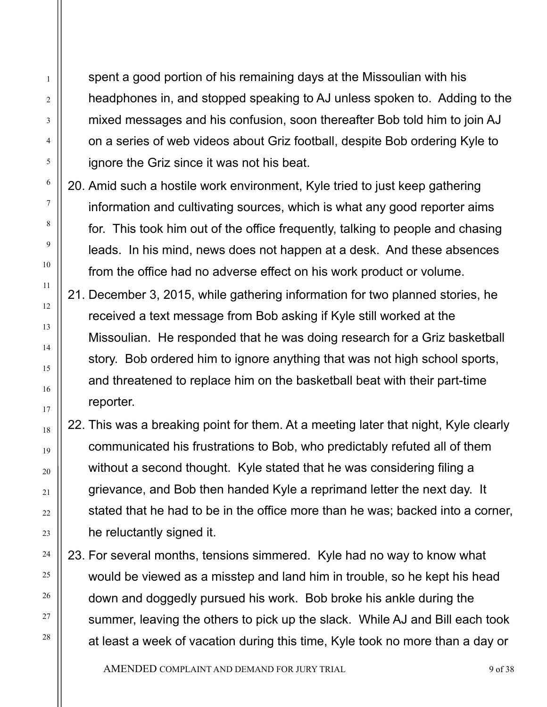spent a good portion of his remaining days at the Missoulian with his headphones in, and stopped speaking to AJ unless spoken to. Adding to the mixed messages and his confusion, soon thereafter Bob told him to join AJ on a series of web videos about Griz football, despite Bob ordering Kyle to ignore the Griz since it was not his beat.

1

2

3

4

5

6

7

8

9

10

11

12

13

14

15

16

17

18

19

20

21

22

23

24

25

26

27

28

- 20. Amid such a hostile work environment, Kyle tried to just keep gathering information and cultivating sources, which is what any good reporter aims for. This took him out of the office frequently, talking to people and chasing leads. In his mind, news does not happen at a desk. And these absences from the office had no adverse effect on his work product or volume.
- 21. December 3, 2015, while gathering information for two planned stories, he received a text message from Bob asking if Kyle still worked at the Missoulian. He responded that he was doing research for a Griz basketball story. Bob ordered him to ignore anything that was not high school sports, and threatened to replace him on the basketball beat with their part-time reporter.
- 22. This was a breaking point for them. At a meeting later that night, Kyle clearly communicated his frustrations to Bob, who predictably refuted all of them without a second thought. Kyle stated that he was considering filing a grievance, and Bob then handed Kyle a reprimand letter the next day. It stated that he had to be in the office more than he was; backed into a corner, he reluctantly signed it.
- 23. For several months, tensions simmered. Kyle had no way to know what would be viewed as a misstep and land him in trouble, so he kept his head down and doggedly pursued his work. Bob broke his ankle during the summer, leaving the others to pick up the slack. While AJ and Bill each took at least a week of vacation during this time, Kyle took no more than a day or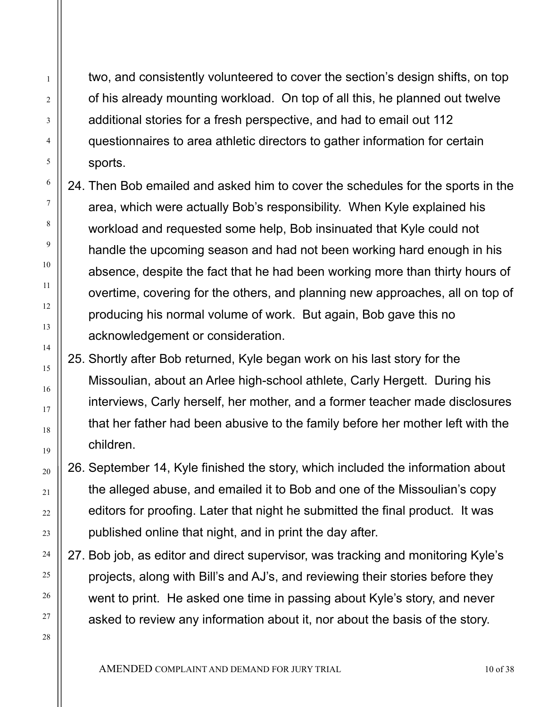two, and consistently volunteered to cover the section's design shifts, on top of his already mounting workload. On top of all this, he planned out twelve additional stories for a fresh perspective, and had to email out 112 questionnaires to area athletic directors to gather information for certain sports.

- 24. Then Bob emailed and asked him to cover the schedules for the sports in the area, which were actually Bob's responsibility. When Kyle explained his workload and requested some help, Bob insinuated that Kyle could not handle the upcoming season and had not been working hard enough in his absence, despite the fact that he had been working more than thirty hours of overtime, covering for the others, and planning new approaches, all on top of producing his normal volume of work. But again, Bob gave this no acknowledgement or consideration.
- 25. Shortly after Bob returned, Kyle began work on his last story for the Missoulian, about an Arlee high-school athlete, Carly Hergett. During his interviews, Carly herself, her mother, and a former teacher made disclosures that her father had been abusive to the family before her mother left with the children.
- 26. September 14, Kyle finished the story, which included the information about the alleged abuse, and emailed it to Bob and one of the Missoulian's copy editors for proofing. Later that night he submitted the final product. It was published online that night, and in print the day after.
- 27. Bob job, as editor and direct supervisor, was tracking and monitoring Kyle's projects, along with Bill's and AJ's, and reviewing their stories before they went to print. He asked one time in passing about Kyle's story, and never asked to review any information about it, nor about the basis of the story.

1

2

3

4

5

6

7

8

9

10

11

12

13

14

15

16

17

18

19

20

21

22

23

24

25

26

27

28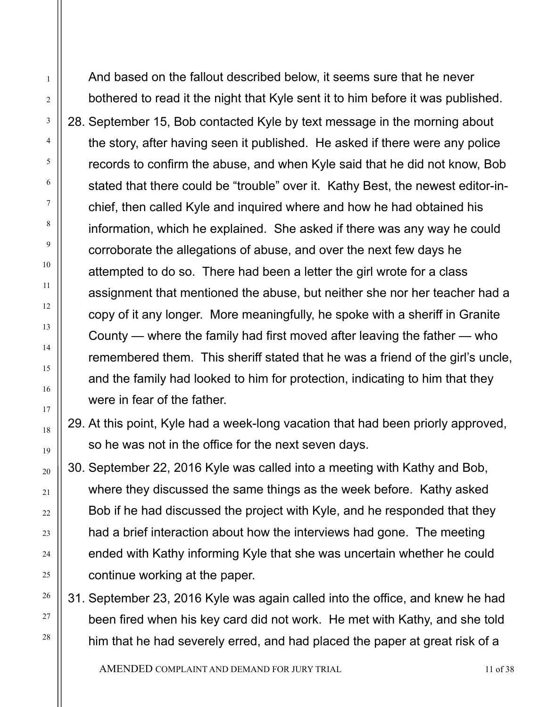And based on the fallout described below, it seems sure that he never bothered to read it the night that Kyle sent it to him before it was published. 28. September 15, Bob contacted Kyle by text message in the morning about the story, after having seen it published. He asked if there were any police records to confirm the abuse, and when Kyle said that he did not know, Bob stated that there could be "trouble" over it. Kathy Best, the newest editor-inchief, then called Kyle and inquired where and how he had obtained his information, which he explained. She asked if there was any way he could corroborate the allegations of abuse, and over the next few days he attempted to do so. There had been a letter the girl wrote for a class assignment that mentioned the abuse, but neither she nor her teacher had a copy of it any longer. More meaningfully, he spoke with a sheriff in Granite County — where the family had first moved after leaving the father — who remembered them. This sheriff stated that he was a friend of the girl's uncle, and the family had looked to him for protection, indicating to him that they were in fear of the father.

1

2

3

4

5

6

7

8

9

10

11

12

13

14

15

16

17

18

19

20

21

22

23

24

25

26

27

28

29. At this point, Kyle had a week-long vacation that had been priorly approved, so he was not in the office for the next seven days.

30. September 22, 2016 Kyle was called into a meeting with Kathy and Bob, where they discussed the same things as the week before. Kathy asked Bob if he had discussed the project with Kyle, and he responded that they had a brief interaction about how the interviews had gone. The meeting ended with Kathy informing Kyle that she was uncertain whether he could continue working at the paper.

31. September 23, 2016 Kyle was again called into the office, and knew he had been fired when his key card did not work. He met with Kathy, and she told him that he had severely erred, and had placed the paper at great risk of a

AMENDED COMPLAINT AND DEMAND FOR JURY TRIAL 11 OF 38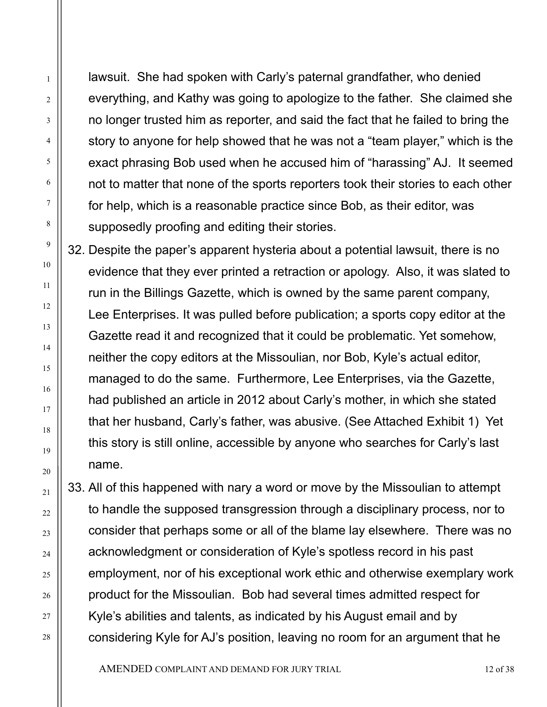lawsuit. She had spoken with Carly's paternal grandfather, who denied everything, and Kathy was going to apologize to the father. She claimed she no longer trusted him as reporter, and said the fact that he failed to bring the story to anyone for help showed that he was not a "team player," which is the exact phrasing Bob used when he accused him of "harassing" AJ. It seemed not to matter that none of the sports reporters took their stories to each other for help, which is a reasonable practice since Bob, as their editor, was supposedly proofing and editing their stories.

1

2

3

4

5

6

7

8

9

10

11

12

13

14

15

16

17

18

19

20

21

22

23

24

25

26

27

28

32. Despite the paper's apparent hysteria about a potential lawsuit, there is no evidence that they ever printed a retraction or apology. Also, it was slated to run in the Billings Gazette, which is owned by the same parent company, Lee Enterprises. It was pulled before publication; a sports copy editor at the Gazette read it and recognized that it could be problematic. Yet somehow, neither the copy editors at the Missoulian, nor Bob, Kyle's actual editor, managed to do the same. Furthermore, Lee Enterprises, via the Gazette, had published an article in 2012 about Carly's mother, in which she stated that her husband, Carly's father, was abusive. (See Attached Exhibit 1) Yet this story is still online, accessible by anyone who searches for Carly's last name.

33. All of this happened with nary a word or move by the Missoulian to attempt to handle the supposed transgression through a disciplinary process, nor to consider that perhaps some or all of the blame lay elsewhere. There was no acknowledgment or consideration of Kyle's spotless record in his past employment, nor of his exceptional work ethic and otherwise exemplary work product for the Missoulian. Bob had several times admitted respect for Kyle's abilities and talents, as indicated by his August email and by considering Kyle for AJ's position, leaving no room for an argument that he

AMENDED COMPLAINT AND DEMAND FOR JURY TRIAL 12 of 38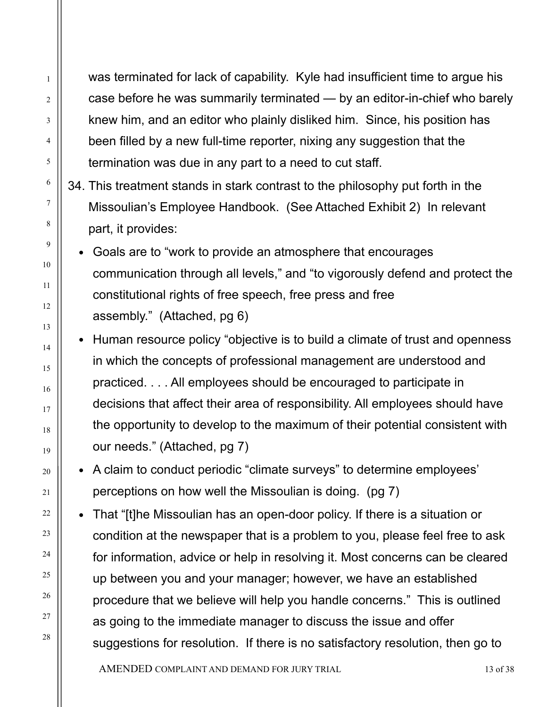was terminated for lack of capability. Kyle had insufficient time to argue his case before he was summarily terminated — by an editor-in-chief who barely knew him, and an editor who plainly disliked him. Since, his position has been filled by a new full-time reporter, nixing any suggestion that the termination was due in any part to a need to cut staff.

- 34. This treatment stands in stark contrast to the philosophy put forth in the Missoulian's Employee Handbook. (See Attached Exhibit 2) In relevant part, it provides:
	- Goals are to "work to provide an atmosphere that encourages communication through all levels," and "to vigorously defend and protect the constitutional rights of free speech, free press and free assembly." (Attached, pg 6)
	- Human resource policy "objective is to build a climate of trust and openness in which the concepts of professional management are understood and practiced. . . . All employees should be encouraged to participate in decisions that affect their area of responsibility. All employees should have the opportunity to develop to the maximum of their potential consistent with our needs." (Attached, pg 7)
	- A claim to conduct periodic "climate surveys" to determine employees' perceptions on how well the Missoulian is doing. (pg 7)
	- That "[t]he Missoulian has an open-door policy. If there is a situation or condition at the newspaper that is a problem to you, please feel free to ask for information, advice or help in resolving it. Most concerns can be cleared up between you and your manager; however, we have an established procedure that we believe will help you handle concerns." This is outlined as going to the immediate manager to discuss the issue and offer suggestions for resolution. If there is no satisfactory resolution, then go to

AMENDED COMPLAINT AND DEMAND FOR JURY TRIAL 13 of 38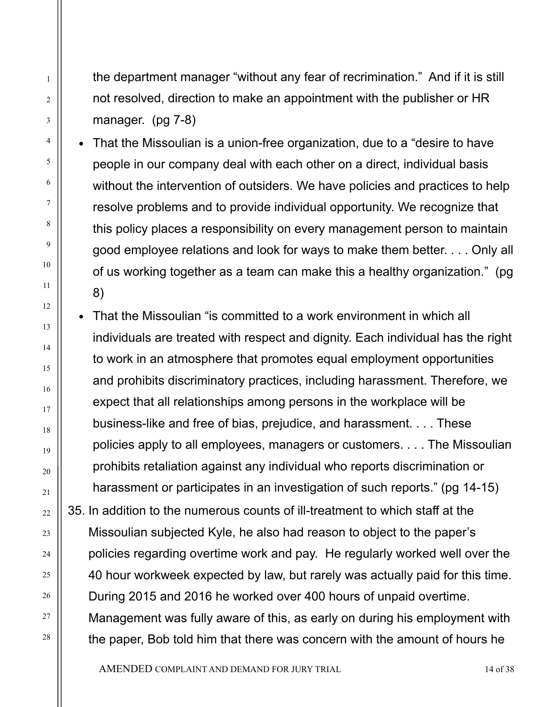the department manager "without any fear of recrimination." And if it is still not resolved, direction to make an appointment with the publisher or HR manager. (pg 7-8)

- That the Missoulian is a union-free organization, due to a "desire to have people in our company deal with each other on a direct, individual basis without the intervention of outsiders. We have policies and practices to help resolve problems and to provide individual opportunity. We recognize that this policy places a responsibility on every management person to maintain good employee relations and look for ways to make them better. . . . Only all of us working together as a team can make this a healthy organization." (pg 8)
- That the Missoulian "is committed to a work environment in which all individuals are treated with respect and dignity. Each individual has the right to work in an atmosphere that promotes equal employment opportunities and prohibits discriminatory practices, including harassment. Therefore, we expect that all relationships among persons in the workplace will be business-like and free of bias, prejudice, and harassment. . . . These policies apply to all employees, managers or customers. . . . The Missoulian prohibits retaliation against any individual who reports discrimination or harassment or participates in an investigation of such reports." (pg 14-15) 35. In addition to the numerous counts of ill-treatment to which staff at the Missoulian subjected Kyle, he also had reason to object to the paper's policies regarding overtime work and pay. He regularly worked well over the 40 hour workweek expected by law, but rarely was actually paid for this time. During 2015 and 2016 he worked over 400 hours of unpaid overtime. Management was fully aware of this, as early on during his employment with the paper, Bob told him that there was concern with the amount of hours he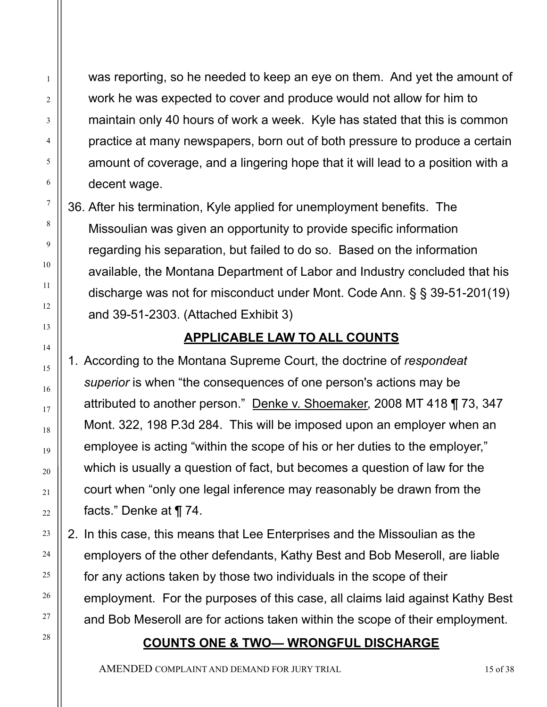was reporting, so he needed to keep an eye on them. And yet the amount of work he was expected to cover and produce would not allow for him to maintain only 40 hours of work a week. Kyle has stated that this is common practice at many newspapers, born out of both pressure to produce a certain amount of coverage, and a lingering hope that it will lead to a position with a decent wage.

36. After his termination, Kyle applied for unemployment benefits. The Missoulian was given an opportunity to provide specific information regarding his separation, but failed to do so. Based on the information available, the Montana Department of Labor and Industry concluded that his discharge was not for misconduct under Mont. Code Ann. § § 39-51-201(19) and 39-51-2303. (Attached Exhibit 3)

# **APPLICABLE LAW TO ALL COUNTS**

1. According to the Montana Supreme Court, the doctrine of *respondeat superior* is when "the consequences of one person's actions may be attributed to another person." Denke v. Shoemaker, 2008 MT 418 ¶ 73, 347 Mont. 322, 198 P.3d 284. This will be imposed upon an employer when an employee is acting "within the scope of his or her duties to the employer," which is usually a question of fact, but becomes a question of law for the court when "only one legal inference may reasonably be drawn from the facts." Denke at ¶ 74.

2. In this case, this means that Lee Enterprises and the Missoulian as the employers of the other defendants, Kathy Best and Bob Meseroll, are liable for any actions taken by those two individuals in the scope of their employment. For the purposes of this case, all claims laid against Kathy Best and Bob Meseroll are for actions taken within the scope of their employment.

#### **COUNTS ONE & TWO— WRONGFUL DISCHARGE**

AMENDED COMPLAINT AND DEMAND FOR JURY TRIAL 15 of 38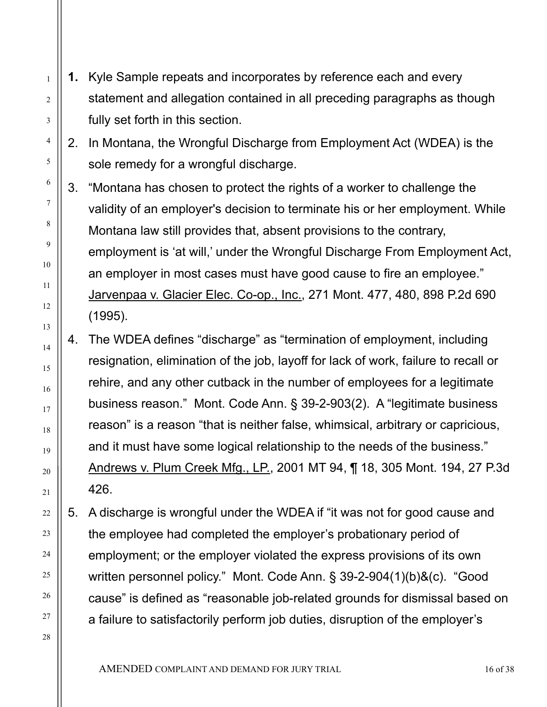**1.** Kyle Sample repeats and incorporates by reference each and every statement and allegation contained in all preceding paragraphs as though fully set forth in this section.

1

2

3

4

5

6

7

8

9

10

11

12

13

14

15

16

17

18

19

20

21

22

23

24

25

26

27

28

2. In Montana, the Wrongful Discharge from Employment Act (WDEA) is the sole remedy for a wrongful discharge.

- 3. "Montana has chosen to protect the rights of a worker to challenge the validity of an employer's decision to terminate his or her employment. While Montana law still provides that, absent provisions to the contrary, employment is 'at will,' under the Wrongful Discharge From Employment Act, an employer in most cases must have good cause to fire an employee." Jarvenpaa v. Glacier Elec. Co-op., Inc., 271 Mont. 477, 480, 898 P.2d 690 (1995).
- 4. The WDEA defines "discharge" as "termination of employment, including resignation, elimination of the job, layoff for lack of work, failure to recall or rehire, and any other cutback in the number of employees for a legitimate business reason." Mont. Code Ann. § 39-2-903(2). A "legitimate business reason" is a reason "that is neither false, whimsical, arbitrary or capricious, and it must have some logical relationship to the needs of the business." Andrews v. Plum Creek Mfg., LP., 2001 MT 94, ¶ 18, 305 Mont. 194, 27 P.3d 426.
- 5. A discharge is wrongful under the WDEA if "it was not for good cause and the employee had completed the employer's probationary period of employment; or the employer violated the express provisions of its own written personnel policy." Mont. Code Ann. § 39-2-904(1)(b)&(c). "Good cause" is defined as "reasonable job-related grounds for dismissal based on a failure to satisfactorily perform job duties, disruption of the employer's

AMENDED COMPLAINT AND DEMAND FOR JURY TRIAL 16 OF 38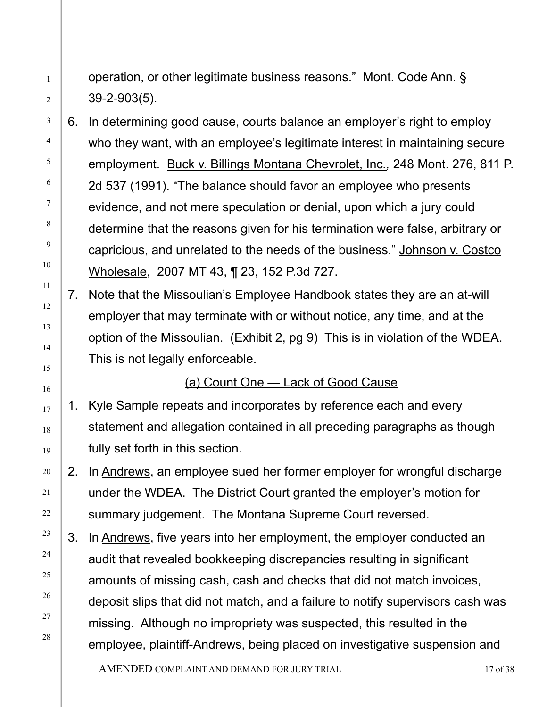- operation, or other legitimate business reasons." Mont. Code Ann. § 39-2-903(5).
- 6. In determining good cause, courts balance an employer's right to employ who they want, with an employee's legitimate interest in maintaining secure employment. Buck v. Billings Montana Chevrolet, Inc*.,* 248 Mont. 276, 811 P. 2d 537 (1991). "The balance should favor an employee who presents evidence, and not mere speculation or denial, upon which a jury could determine that the reasons given for his termination were false, arbitrary or capricious, and unrelated to the needs of the business." Johnson v. Costco Wholesale, 2007 MT 43, ¶ 23, 152 P.3d 727.
- 7. Note that the Missoulian's Employee Handbook states they are an at-will employer that may terminate with or without notice, any time, and at the option of the Missoulian. (Exhibit 2, pg 9) This is in violation of the WDEA. This is not legally enforceable.

## (a) Count One — Lack of Good Cause

- 1. Kyle Sample repeats and incorporates by reference each and every statement and allegation contained in all preceding paragraphs as though fully set forth in this section.
- 2. In Andrews, an employee sued her former employer for wrongful discharge under the WDEA. The District Court granted the employer's motion for summary judgement. The Montana Supreme Court reversed.
- 3. In Andrews, five years into her employment, the employer conducted an audit that revealed bookkeeping discrepancies resulting in significant amounts of missing cash, cash and checks that did not match invoices, deposit slips that did not match, and a failure to notify supervisors cash was missing. Although no impropriety was suspected, this resulted in the employee, plaintiff-Andrews, being placed on investigative suspension and

AMENDED COMPLAINT AND DEMAND FOR JURY TRIAL 17 of 38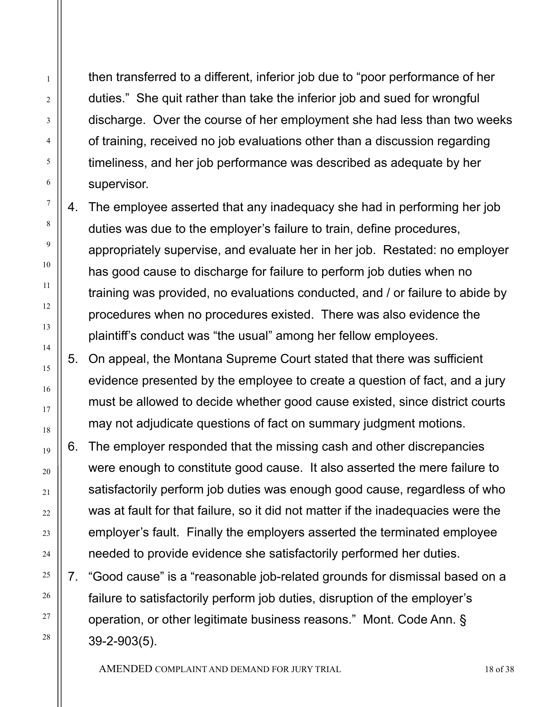then transferred to a different, inferior job due to "poor performance of her duties." She quit rather than take the inferior job and sued for wrongful discharge. Over the course of her employment she had less than two weeks of training, received no job evaluations other than a discussion regarding timeliness, and her job performance was described as adequate by her supervisor.

1

2

3

4

5

6

7

8

9

10

11

12

13

14

15

16

17

18

19

20

21

22

23

24

25

26

27

28

4. The employee asserted that any inadequacy she had in performing her job duties was due to the employer's failure to train, define procedures, appropriately supervise, and evaluate her in her job. Restated: no employer has good cause to discharge for failure to perform job duties when no training was provided, no evaluations conducted, and / or failure to abide by procedures when no procedures existed. There was also evidence the plaintiff's conduct was "the usual" among her fellow employees.

5. On appeal, the Montana Supreme Court stated that there was sufficient evidence presented by the employee to create a question of fact, and a jury must be allowed to decide whether good cause existed, since district courts may not adjudicate questions of fact on summary judgment motions.

6. The employer responded that the missing cash and other discrepancies were enough to constitute good cause. It also asserted the mere failure to satisfactorily perform job duties was enough good cause, regardless of who was at fault for that failure, so it did not matter if the inadequacies were the employer's fault. Finally the employers asserted the terminated employee needed to provide evidence she satisfactorily performed her duties.

7. "Good cause" is a "reasonable job-related grounds for dismissal based on a failure to satisfactorily perform job duties, disruption of the employer's operation, or other legitimate business reasons." Mont. Code Ann. § 39-2-903(5).

AMENDED COMPLAINT AND DEMAND FOR JURY TRIAL 18 of 38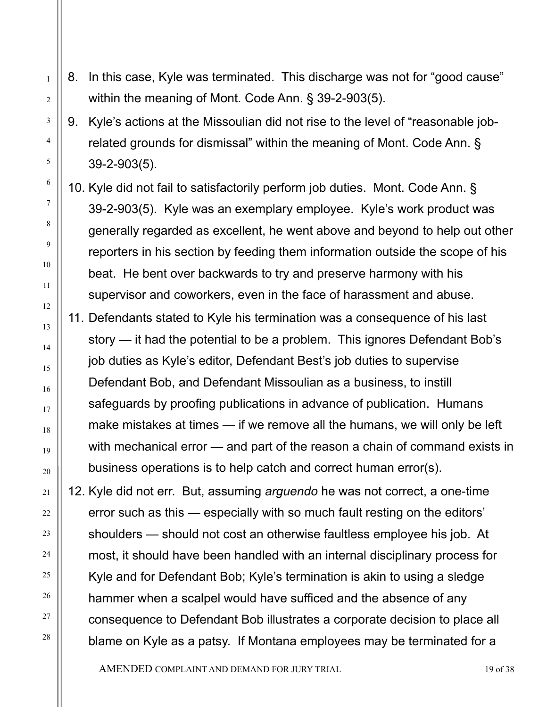8. In this case, Kyle was terminated. This discharge was not for "good cause" within the meaning of Mont. Code Ann. § 39-2-903(5).

1

2

3

4

5

6

7

8

9

10

11

12

13

14

15

16

17

18

19

20

21

22

23

24

25

26

27

28

- 9. Kyle's actions at the Missoulian did not rise to the level of "reasonable jobrelated grounds for dismissal" within the meaning of Mont. Code Ann. § 39-2-903(5).
- 10. Kyle did not fail to satisfactorily perform job duties. Mont. Code Ann. § 39-2-903(5). Kyle was an exemplary employee. Kyle's work product was generally regarded as excellent, he went above and beyond to help out other reporters in his section by feeding them information outside the scope of his beat. He bent over backwards to try and preserve harmony with his supervisor and coworkers, even in the face of harassment and abuse.
- 11. Defendants stated to Kyle his termination was a consequence of his last story — it had the potential to be a problem. This ignores Defendant Bob's job duties as Kyle's editor, Defendant Best's job duties to supervise Defendant Bob, and Defendant Missoulian as a business, to instill safeguards by proofing publications in advance of publication. Humans make mistakes at times — if we remove all the humans, we will only be left with mechanical error — and part of the reason a chain of command exists in business operations is to help catch and correct human error(s).

12. Kyle did not err. But, assuming *arguendo* he was not correct, a one-time error such as this — especially with so much fault resting on the editors' shoulders — should not cost an otherwise faultless employee his job. At most, it should have been handled with an internal disciplinary process for Kyle and for Defendant Bob; Kyle's termination is akin to using a sledge hammer when a scalpel would have sufficed and the absence of any consequence to Defendant Bob illustrates a corporate decision to place all blame on Kyle as a patsy. If Montana employees may be terminated for a

AMENDED COMPLAINT AND DEMAND FOR JURY TRIAL 19 of 38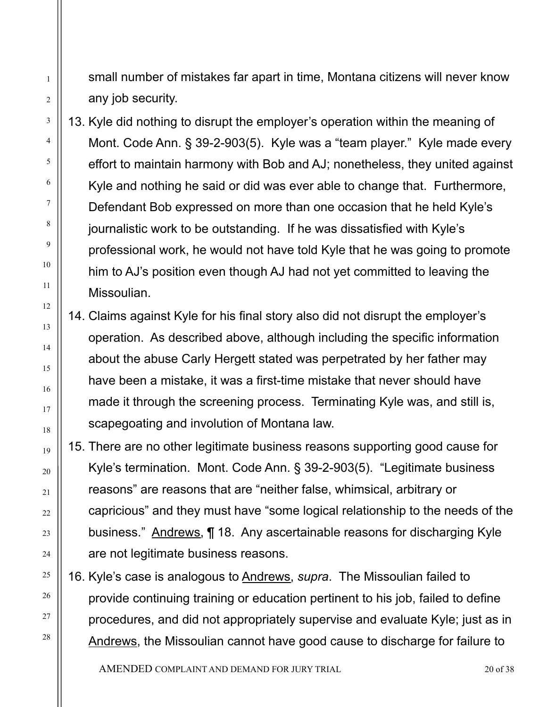small number of mistakes far apart in time, Montana citizens will never know any job security.

1

2

3

4

5

6

7

8

9

10

11

12

13

14

15

16

17

18

19

20

21

22

23

24

25

26

27

28

13. Kyle did nothing to disrupt the employer's operation within the meaning of Mont. Code Ann. § 39-2-903(5). Kyle was a "team player." Kyle made every effort to maintain harmony with Bob and AJ; nonetheless, they united against Kyle and nothing he said or did was ever able to change that. Furthermore, Defendant Bob expressed on more than one occasion that he held Kyle's journalistic work to be outstanding. If he was dissatisfied with Kyle's professional work, he would not have told Kyle that he was going to promote him to AJ's position even though AJ had not yet committed to leaving the Missoulian.

- 14. Claims against Kyle for his final story also did not disrupt the employer's operation. As described above, although including the specific information about the abuse Carly Hergett stated was perpetrated by her father may have been a mistake, it was a first-time mistake that never should have made it through the screening process. Terminating Kyle was, and still is, scapegoating and involution of Montana law.
- 15. There are no other legitimate business reasons supporting good cause for Kyle's termination. Mont. Code Ann. § 39-2-903(5). "Legitimate business reasons" are reasons that are "neither false, whimsical, arbitrary or capricious" and they must have "some logical relationship to the needs of the business." Andrews, ¶ 18. Any ascertainable reasons for discharging Kyle are not legitimate business reasons.

16. Kyle's case is analogous to Andrews, *supra*. The Missoulian failed to provide continuing training or education pertinent to his job, failed to define procedures, and did not appropriately supervise and evaluate Kyle; just as in Andrews, the Missoulian cannot have good cause to discharge for failure to

AMENDED COMPLAINT AND DEMAND FOR JURY TRIAL 20 0 0 138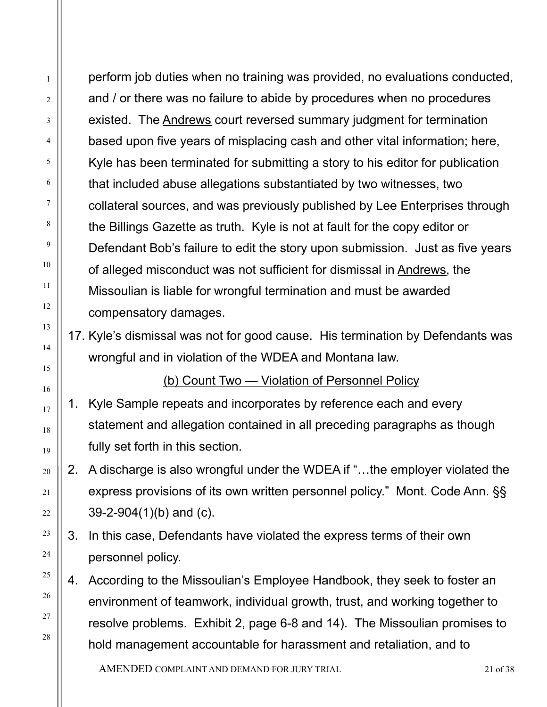perform job duties when no training was provided, no evaluations conducted, and / or there was no failure to abide by procedures when no procedures existed. The Andrews court reversed summary judgment for termination based upon five years of misplacing cash and other vital information; here, Kyle has been terminated for submitting a story to his editor for publication that included abuse allegations substantiated by two witnesses, two collateral sources, and was previously published by Lee Enterprises through the Billings Gazette as truth. Kyle is not at fault for the copy editor or Defendant Bob's failure to edit the story upon submission. Just as five years of alleged misconduct was not sufficient for dismissal in Andrews, the Missoulian is liable for wrongful termination and must be awarded compensatory damages.

1

2

3

4

5

6

7

8

9

10

11

12

13

14

15

16

17

18

19

20

21

22

23

24

25

26

27

28

17. Kyle's dismissal was not for good cause. His termination by Defendants was wrongful and in violation of the WDEA and Montana law.

(b) Count Two — Violation of Personnel Policy

- 1. Kyle Sample repeats and incorporates by reference each and every statement and allegation contained in all preceding paragraphs as though fully set forth in this section.
- 2. A discharge is also wrongful under the WDEA if "…the employer violated the express provisions of its own written personnel policy." Mont. Code Ann. §§ 39-2-904(1)(b) and (c).
- 3. In this case, Defendants have violated the express terms of their own personnel policy.
- 4. According to the Missoulian's Employee Handbook, they seek to foster an environment of teamwork, individual growth, trust, and working together to resolve problems. Exhibit 2, page 6-8 and 14). The Missoulian promises to hold management accountable for harassment and retaliation, and to

AMENDED COMPLAINT AND DEMAND FOR JURY TRIAL 21 of 38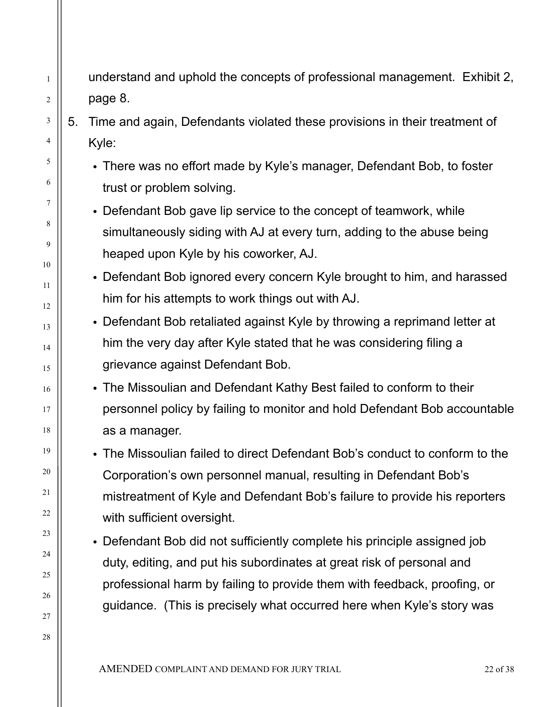understand and uphold the concepts of professional management. Exhibit 2, page 8.

5. Time and again, Defendants violated these provisions in their treatment of Kyle:

1

2

3

4

5

6

7

8

9

10

11

12

13

14

15

16

17

18

19

20

21

22

23

24

25

26

27

28

• There was no effort made by Kyle's manager, Defendant Bob, to foster trust or problem solving.

• Defendant Bob gave lip service to the concept of teamwork, while simultaneously siding with AJ at every turn, adding to the abuse being heaped upon Kyle by his coworker, AJ.

• Defendant Bob ignored every concern Kyle brought to him, and harassed him for his attempts to work things out with AJ.

• Defendant Bob retaliated against Kyle by throwing a reprimand letter at him the very day after Kyle stated that he was considering filing a grievance against Defendant Bob.

• The Missoulian and Defendant Kathy Best failed to conform to their personnel policy by failing to monitor and hold Defendant Bob accountable as a manager.

• The Missoulian failed to direct Defendant Bob's conduct to conform to the Corporation's own personnel manual, resulting in Defendant Bob's mistreatment of Kyle and Defendant Bob's failure to provide his reporters with sufficient oversight.

• Defendant Bob did not sufficiently complete his principle assigned job duty, editing, and put his subordinates at great risk of personal and professional harm by failing to provide them with feedback, proofing, or guidance. (This is precisely what occurred here when Kyle's story was

AMENDED COMPLAINT AND DEMAND FOR JURY TRIAL 22 0 138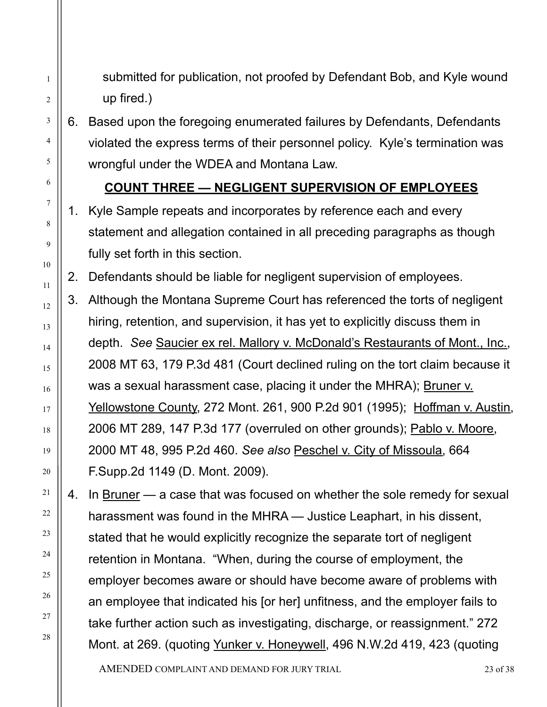submitted for publication, not proofed by Defendant Bob, and Kyle wound up fired.)

6. Based upon the foregoing enumerated failures by Defendants, Defendants violated the express terms of their personnel policy. Kyle's termination was wrongful under the WDEA and Montana Law.

1

2

3

4

5

6

7

8

9

10

11

12

13

14

15

16

17

18

19

20

21

22

23

24

25

26

27

28

#### **COUNT THREE — NEGLIGENT SUPERVISION OF EMPLOYEES**

1. Kyle Sample repeats and incorporates by reference each and every statement and allegation contained in all preceding paragraphs as though fully set forth in this section.

2. Defendants should be liable for negligent supervision of employees.

3. Although the Montana Supreme Court has referenced the torts of negligent hiring, retention, and supervision, it has yet to explicitly discuss them in depth. *See* Saucier ex rel. Mallory v. McDonald's Restaurants of Mont., Inc., 2008 MT 63, 179 P.3d 481 (Court declined ruling on the tort claim because it was a sexual harassment case, placing it under the MHRA); Bruner v. Yellowstone County, 272 Mont. 261, 900 P.2d 901 (1995); Hoffman v. Austin, 2006 MT 289, 147 P.3d 177 (overruled on other grounds); Pablo v. Moore, 2000 MT 48, 995 P.2d 460. *See also* Peschel v. City of Missoula, 664 F.Supp.2d 1149 (D. Mont. 2009).

4. In Bruner — a case that was focused on whether the sole remedy for sexual harassment was found in the MHRA — Justice Leaphart, in his dissent, stated that he would explicitly recognize the separate tort of negligent retention in Montana. "When, during the course of employment, the employer becomes aware or should have become aware of problems with an employee that indicated his [or her] unfitness, and the employer fails to take further action such as investigating, discharge, or reassignment." 272 Mont. at 269. (quoting Yunker v. Honeywell, 496 N.W.2d 419, 423 (quoting

AMENDED COMPLAINT AND DEMAND FOR JURY TRIAL 23 of 38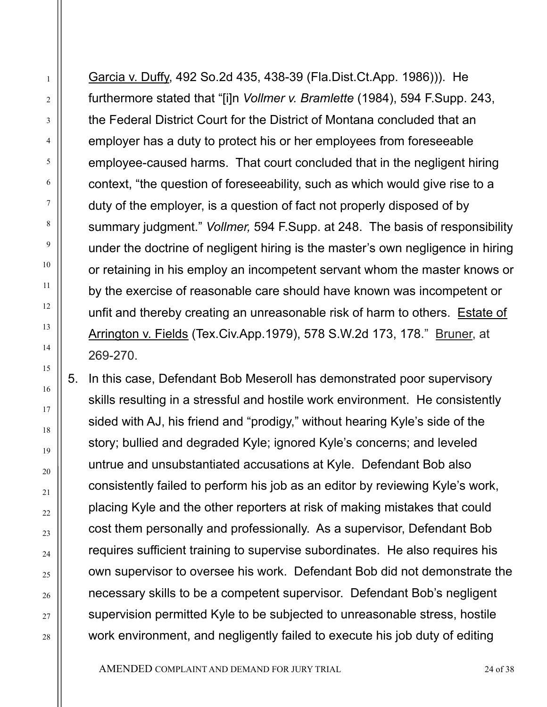Garcia v. Duffy, 492 So.2d 435, 438-39 (Fla.Dist.Ct.App. 1986))). He furthermore stated that "[i]n *Vollmer v. Bramlette* (1984), 594 F.Supp. 243, the Federal District Court for the District of Montana concluded that an employer has a duty to protect his or her employees from foreseeable employee-caused harms. That court concluded that in the negligent hiring context, "the question of foreseeability, such as which would give rise to a duty of the employer, is a question of fact not properly disposed of by summary judgment." *Vollmer,* 594 F.Supp. at 248. The basis of responsibility under the doctrine of negligent hiring is the master's own negligence in hiring or retaining in his employ an incompetent servant whom the master knows or by the exercise of reasonable care should have known was incompetent or unfit and thereby creating an unreasonable risk of harm to others. Estate of Arrington v. Fields (Tex.Civ.App.1979), 578 S.W.2d 173, 178." Bruner, at 269-270.

1

2

3

4

5

6

7

8

9

10

11

12

13

14

15

16

17

18

19

20

21

22

23

24

25

26

27

28

5. In this case, Defendant Bob Meseroll has demonstrated poor supervisory skills resulting in a stressful and hostile work environment. He consistently sided with AJ, his friend and "prodigy," without hearing Kyle's side of the story; bullied and degraded Kyle; ignored Kyle's concerns; and leveled untrue and unsubstantiated accusations at Kyle. Defendant Bob also consistently failed to perform his job as an editor by reviewing Kyle's work, placing Kyle and the other reporters at risk of making mistakes that could cost them personally and professionally. As a supervisor, Defendant Bob requires sufficient training to supervise subordinates. He also requires his own supervisor to oversee his work. Defendant Bob did not demonstrate the necessary skills to be a competent supervisor. Defendant Bob's negligent supervision permitted Kyle to be subjected to unreasonable stress, hostile work environment, and negligently failed to execute his job duty of editing

AMENDED COMPLAINT AND DEMAND FOR JURY TRIAL 24 0 138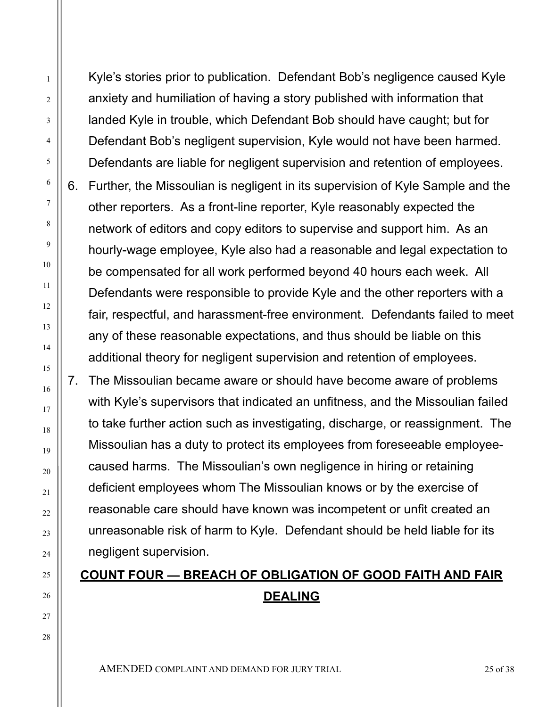Kyle's stories prior to publication. Defendant Bob's negligence caused Kyle anxiety and humiliation of having a story published with information that landed Kyle in trouble, which Defendant Bob should have caught; but for Defendant Bob's negligent supervision, Kyle would not have been harmed. Defendants are liable for negligent supervision and retention of employees. 6. Further, the Missoulian is negligent in its supervision of Kyle Sample and the other reporters. As a front-line reporter, Kyle reasonably expected the network of editors and copy editors to supervise and support him. As an hourly-wage employee, Kyle also had a reasonable and legal expectation to be compensated for all work performed beyond 40 hours each week. All Defendants were responsible to provide Kyle and the other reporters with a fair, respectful, and harassment-free environment. Defendants failed to meet any of these reasonable expectations, and thus should be liable on this additional theory for negligent supervision and retention of employees.

7. The Missoulian became aware or should have become aware of problems with Kyle's supervisors that indicated an unfitness, and the Missoulian failed to take further action such as investigating, discharge, or reassignment. The Missoulian has a duty to protect its employees from foreseeable employeecaused harms. The Missoulian's own negligence in hiring or retaining deficient employees whom The Missoulian knows or by the exercise of reasonable care should have known was incompetent or unfit created an unreasonable risk of harm to Kyle. Defendant should be held liable for its negligent supervision.

# **COUNT FOUR — BREACH OF OBLIGATION OF GOOD FAITH AND FAIR DEALING**

AMENDED COMPLAINT AND DEMAND FOR JURY TRIAL 25 OF 38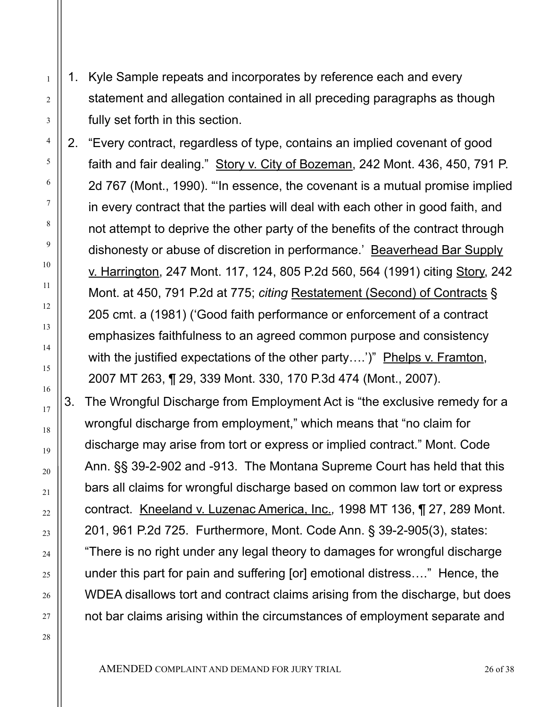1. Kyle Sample repeats and incorporates by reference each and every statement and allegation contained in all preceding paragraphs as though fully set forth in this section.

2. "Every contract, regardless of type, contains an implied covenant of good faith and fair dealing." Story v. City of Bozeman, 242 Mont. 436, 450, 791 P. 2d 767 (Mont., 1990). "'In essence, the covenant is a mutual promise implied in every contract that the parties will deal with each other in good faith, and not attempt to deprive the other party of the benefits of the contract through dishonesty or abuse of discretion in performance.' Beaverhead Bar Supply v. Harrington, 247 Mont. 117, 124, 805 P.2d 560, 564 (1991) citing Story, 242 Mont. at 450, 791 P.2d at 775; *citing* Restatement (Second) of Contracts § 205 cmt. a (1981) ('Good faith performance or enforcement of a contract emphasizes faithfulness to an agreed common purpose and consistency with the justified expectations of the other party....')" Phelps v. Framton, 2007 MT 263, ¶ 29, 339 Mont. 330, 170 P.3d 474 (Mont., 2007).

3. The Wrongful Discharge from Employment Act is "the exclusive remedy for a wrongful discharge from employment," which means that "no claim for discharge may arise from tort or express or implied contract." Mont. Code Ann. §§ 39-2-902 and -913. The Montana Supreme Court has held that this bars all claims for wrongful discharge based on common law tort or express contract. Kneeland v. Luzenac America, Inc.*,* 1998 MT 136, ¶ 27, 289 Mont. 201, 961 P.2d 725. Furthermore, Mont. Code Ann. § 39-2-905(3), states: "There is no right under any legal theory to damages for wrongful discharge under this part for pain and suffering [or] emotional distress…." Hence, the WDEA disallows tort and contract claims arising from the discharge, but does not bar claims arising within the circumstances of employment separate and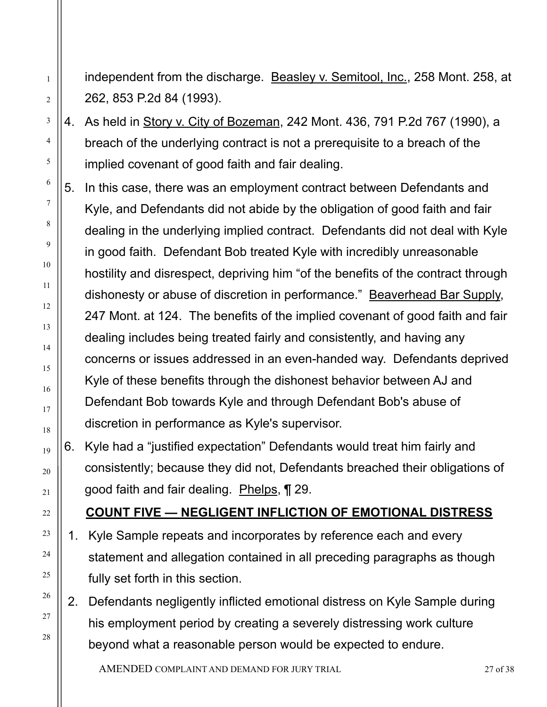independent from the discharge. Beasley v. Semitool, Inc., 258 Mont. 258, at 262, 853 P.2d 84 (1993).

4. As held in Story v. City of Bozeman, 242 Mont. 436, 791 P.2d 767 (1990), a breach of the underlying contract is not a prerequisite to a breach of the implied covenant of good faith and fair dealing.

1

2

3

4

5

6

7

8

9

10

11

12

13

14

15

16

17

18

19

20

21

22

23

24

25

26

27

28

- 5. In this case, there was an employment contract between Defendants and Kyle, and Defendants did not abide by the obligation of good faith and fair dealing in the underlying implied contract. Defendants did not deal with Kyle in good faith. Defendant Bob treated Kyle with incredibly unreasonable hostility and disrespect, depriving him "of the benefits of the contract through dishonesty or abuse of discretion in performance." Beaverhead Bar Supply, 247 Mont. at 124. The benefits of the implied covenant of good faith and fair dealing includes being treated fairly and consistently, and having any concerns or issues addressed in an even-handed way. Defendants deprived Kyle of these benefits through the dishonest behavior between AJ and Defendant Bob towards Kyle and through Defendant Bob's abuse of discretion in performance as Kyle's supervisor.
- 6. Kyle had a "justified expectation" Defendants would treat him fairly and consistently; because they did not, Defendants breached their obligations of good faith and fair dealing. Phelps, ¶ 29.

#### **COUNT FIVE — NEGLIGENT INFLICTION OF EMOTIONAL DISTRESS**

- 1. Kyle Sample repeats and incorporates by reference each and every statement and allegation contained in all preceding paragraphs as though fully set forth in this section.
- 2. Defendants negligently inflicted emotional distress on Kyle Sample during his employment period by creating a severely distressing work culture beyond what a reasonable person would be expected to endure.

AMENDED COMPLAINT AND DEMAND FOR JURY TRIAL 27 of 38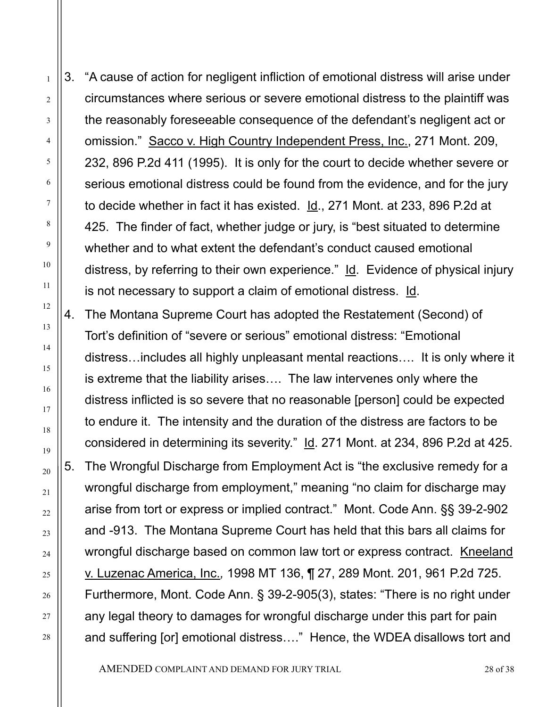3. "A cause of action for negligent infliction of emotional distress will arise under circumstances where serious or severe emotional distress to the plaintiff was the reasonably foreseeable consequence of the defendant's negligent act or omission." Sacco v. High Country Independent Press, Inc., 271 Mont. 209, 232, 896 P.2d 411 (1995). It is only for the court to decide whether severe or serious emotional distress could be found from the evidence, and for the jury to decide whether in fact it has existed. Id., 271 Mont. at 233, 896 P.2d at 425. The finder of fact, whether judge or jury, is "best situated to determine whether and to what extent the defendant's conduct caused emotional distress, by referring to their own experience." Id. Evidence of physical injury is not necessary to support a claim of emotional distress. Id.

4. The Montana Supreme Court has adopted the Restatement (Second) of Tort's definition of "severe or serious" emotional distress: "Emotional distress…includes all highly unpleasant mental reactions…. It is only where it is extreme that the liability arises…. The law intervenes only where the distress inflicted is so severe that no reasonable [person] could be expected to endure it. The intensity and the duration of the distress are factors to be considered in determining its severity." Id. 271 Mont. at 234, 896 P.2d at 425. 5. The Wrongful Discharge from Employment Act is "the exclusive remedy for a wrongful discharge from employment," meaning "no claim for discharge may arise from tort or express or implied contract." Mont. Code Ann. §§ 39-2-902 and -913. The Montana Supreme Court has held that this bars all claims for wrongful discharge based on common law tort or express contract. Kneeland v. Luzenac America, Inc.*,* 1998 MT 136, ¶ 27, 289 Mont. 201, 961 P.2d 725. Furthermore, Mont. Code Ann. § 39-2-905(3), states: "There is no right under any legal theory to damages for wrongful discharge under this part for pain and suffering [or] emotional distress…." Hence, the WDEA disallows tort and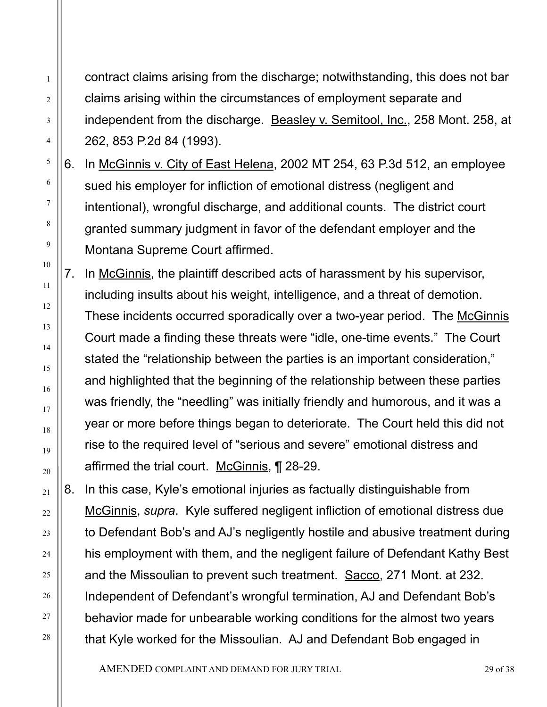contract claims arising from the discharge; notwithstanding, this does not bar claims arising within the circumstances of employment separate and independent from the discharge. Beasley v. Semitool, Inc., 258 Mont. 258, at 262, 853 P.2d 84 (1993).

1

2

3

4

5

6

7

8

9

10

11

12

13

14

15

16

17

18

19

20

21

22

23

24

25

26

27

28

6. In McGinnis v. City of East Helena, 2002 MT 254, 63 P.3d 512, an employee sued his employer for infliction of emotional distress (negligent and intentional), wrongful discharge, and additional counts. The district court granted summary judgment in favor of the defendant employer and the Montana Supreme Court affirmed.

7. In McGinnis, the plaintiff described acts of harassment by his supervisor, including insults about his weight, intelligence, and a threat of demotion. These incidents occurred sporadically over a two-year period. The McGinnis Court made a finding these threats were "idle, one-time events." The Court stated the "relationship between the parties is an important consideration," and highlighted that the beginning of the relationship between these parties was friendly, the "needling" was initially friendly and humorous, and it was a year or more before things began to deteriorate. The Court held this did not rise to the required level of "serious and severe" emotional distress and affirmed the trial court. McGinnis, ¶ 28-29.

8. In this case, Kyle's emotional injuries as factually distinguishable from McGinnis, *supra*. Kyle suffered negligent infliction of emotional distress due to Defendant Bob's and AJ's negligently hostile and abusive treatment during his employment with them, and the negligent failure of Defendant Kathy Best and the Missoulian to prevent such treatment. Sacco, 271 Mont. at 232. Independent of Defendant's wrongful termination, AJ and Defendant Bob's behavior made for unbearable working conditions for the almost two years that Kyle worked for the Missoulian. AJ and Defendant Bob engaged in

AMENDED COMPLAINT AND DEMAND FOR JURY TRIAL 29 01 38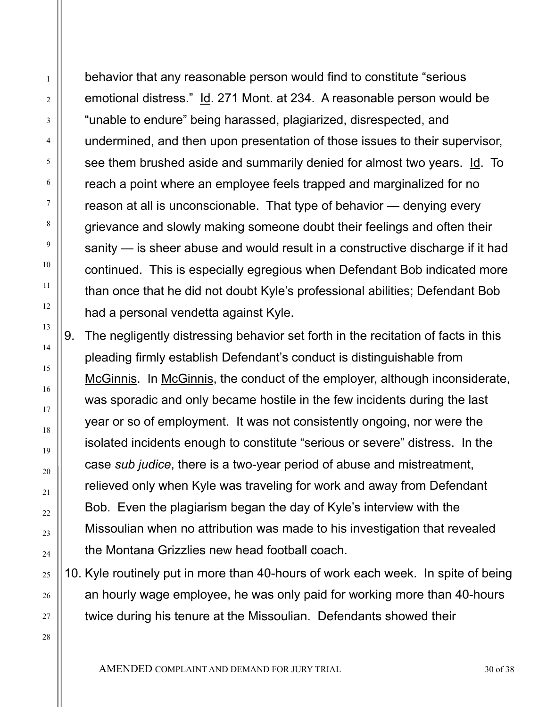behavior that any reasonable person would find to constitute "serious emotional distress." Id. 271 Mont. at 234. A reasonable person would be "unable to endure" being harassed, plagiarized, disrespected, and undermined, and then upon presentation of those issues to their supervisor, see them brushed aside and summarily denied for almost two years. Id. To reach a point where an employee feels trapped and marginalized for no reason at all is unconscionable. That type of behavior — denying every grievance and slowly making someone doubt their feelings and often their sanity — is sheer abuse and would result in a constructive discharge if it had continued. This is especially egregious when Defendant Bob indicated more than once that he did not doubt Kyle's professional abilities; Defendant Bob had a personal vendetta against Kyle.

1

2

3

4

5

6

7

8

9

10

11

12

13

14

15

16

17

18

19

20

21

 $22$ 

23

24

25

26

27

28

9. The negligently distressing behavior set forth in the recitation of facts in this pleading firmly establish Defendant's conduct is distinguishable from McGinnis. In McGinnis, the conduct of the employer, although inconsiderate, was sporadic and only became hostile in the few incidents during the last year or so of employment. It was not consistently ongoing, nor were the isolated incidents enough to constitute "serious or severe" distress. In the case *sub judice*, there is a two-year period of abuse and mistreatment, relieved only when Kyle was traveling for work and away from Defendant Bob. Even the plagiarism began the day of Kyle's interview with the Missoulian when no attribution was made to his investigation that revealed the Montana Grizzlies new head football coach.

10. Kyle routinely put in more than 40-hours of work each week. In spite of being an hourly wage employee, he was only paid for working more than 40-hours twice during his tenure at the Missoulian. Defendants showed their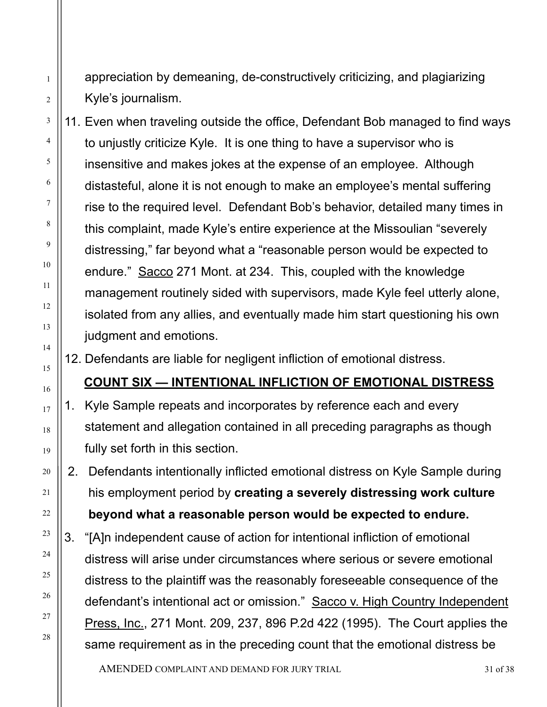- appreciation by demeaning, de-constructively criticizing, and plagiarizing Kyle's journalism.
- 11. Even when traveling outside the office, Defendant Bob managed to find ways to unjustly criticize Kyle. It is one thing to have a supervisor who is insensitive and makes jokes at the expense of an employee. Although distasteful, alone it is not enough to make an employee's mental suffering rise to the required level. Defendant Bob's behavior, detailed many times in this complaint, made Kyle's entire experience at the Missoulian "severely distressing," far beyond what a "reasonable person would be expected to endure." Sacco 271 Mont. at 234. This, coupled with the knowledge management routinely sided with supervisors, made Kyle feel utterly alone, isolated from any allies, and eventually made him start questioning his own judgment and emotions.

12. Defendants are liable for negligent infliction of emotional distress.

16

1

2

3

4

5

6

7

8

9

10

11

12

13

14

15

17

18

19

20

21

22

23

24

25

26

27

28

**COUNT SIX — INTENTIONAL INFLICTION OF EMOTIONAL DISTRESS** 

- 1. Kyle Sample repeats and incorporates by reference each and every statement and allegation contained in all preceding paragraphs as though fully set forth in this section.
- 2. Defendants intentionally inflicted emotional distress on Kyle Sample during his employment period by **creating a severely distressing work culture beyond what a reasonable person would be expected to endure.**
- 3. "[A]n independent cause of action for intentional infliction of emotional distress will arise under circumstances where serious or severe emotional distress to the plaintiff was the reasonably foreseeable consequence of the defendant's intentional act or omission." Sacco v. High Country Independent Press, Inc., 271 Mont. 209, 237, 896 P.2d 422 (1995). The Court applies the same requirement as in the preceding count that the emotional distress be

AMENDED COMPLAINT AND DEMAND FOR JURY TRIAL 31 of 38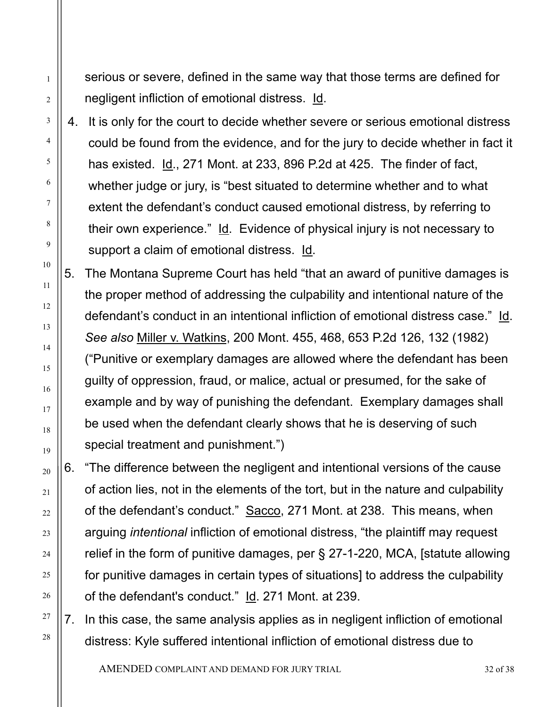serious or severe, defined in the same way that those terms are defined for negligent infliction of emotional distress. Id.

1

2

3

4

5

6

7

8

9

10

11

12

13

14

15

16

17

18

19

20

21

22

23

24

25

26

27

28

4. It is only for the court to decide whether severe or serious emotional distress could be found from the evidence, and for the jury to decide whether in fact it has existed. Id., 271 Mont. at 233, 896 P.2d at 425. The finder of fact, whether judge or jury, is "best situated to determine whether and to what extent the defendant's conduct caused emotional distress, by referring to their own experience." Id. Evidence of physical injury is not necessary to support a claim of emotional distress. Id.

5. The Montana Supreme Court has held "that an award of punitive damages is the proper method of addressing the culpability and intentional nature of the defendant's conduct in an intentional infliction of emotional distress case." Id. *See also* Miller v. Watkins, 200 Mont. 455, 468, 653 P.2d 126, 132 (1982) ("Punitive or exemplary damages are allowed where the defendant has been guilty of oppression, fraud, or malice, actual or presumed, for the sake of example and by way of punishing the defendant. Exemplary damages shall be used when the defendant clearly shows that he is deserving of such special treatment and punishment.")

6. "The difference between the negligent and intentional versions of the cause of action lies, not in the elements of the tort, but in the nature and culpability of the defendant's conduct." Sacco, 271 Mont. at 238. This means, when arguing *intentional* infliction of emotional distress, "the plaintiff may request relief in the form of punitive damages, per § 27-1-220, MCA, [statute allowing for punitive damages in certain types of situations] to address the culpability of the defendant's conduct." Id. 271 Mont. at 239.

7. In this case, the same analysis applies as in negligent infliction of emotional distress: Kyle suffered intentional infliction of emotional distress due to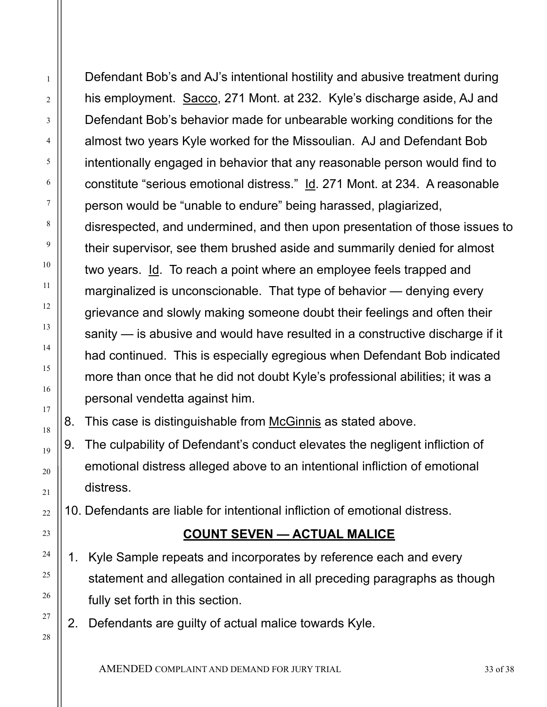Defendant Bob's and AJ's intentional hostility and abusive treatment during his employment. Sacco, 271 Mont. at 232. Kyle's discharge aside, AJ and Defendant Bob's behavior made for unbearable working conditions for the almost two years Kyle worked for the Missoulian. AJ and Defendant Bob intentionally engaged in behavior that any reasonable person would find to constitute "serious emotional distress." Id. 271 Mont. at 234. A reasonable person would be "unable to endure" being harassed, plagiarized, disrespected, and undermined, and then upon presentation of those issues to their supervisor, see them brushed aside and summarily denied for almost two years. Id. To reach a point where an employee feels trapped and marginalized is unconscionable. That type of behavior — denying every grievance and slowly making someone doubt their feelings and often their sanity — is abusive and would have resulted in a constructive discharge if it had continued. This is especially egregious when Defendant Bob indicated more than once that he did not doubt Kyle's professional abilities; it was a personal vendetta against him.

8. This case is distinguishable from McGinnis as stated above.

9. The culpability of Defendant's conduct elevates the negligent infliction of emotional distress alleged above to an intentional infliction of emotional distress.

10. Defendants are liable for intentional infliction of emotional distress.

# **COUNT SEVEN — ACTUAL MALICE**

- 1. Kyle Sample repeats and incorporates by reference each and every statement and allegation contained in all preceding paragraphs as though fully set forth in this section.
- 2. Defendants are guilty of actual malice towards Kyle.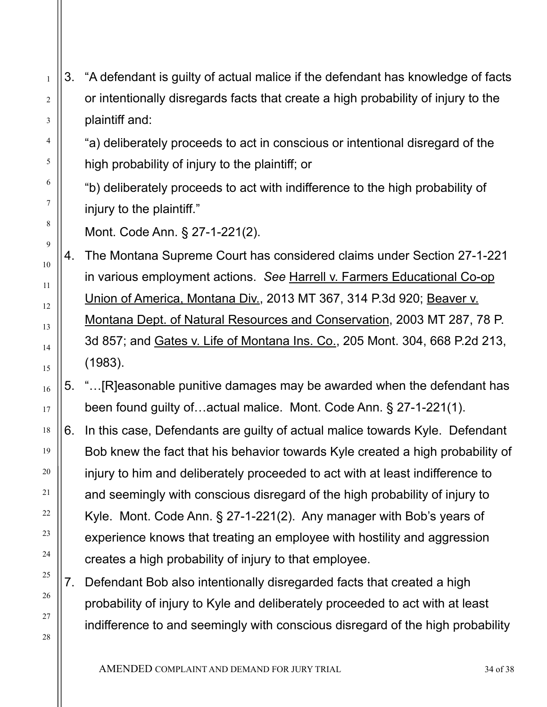- 3. "A defendant is guilty of actual malice if the defendant has knowledge of facts or intentionally disregards facts that create a high probability of injury to the plaintiff and:
	- "a) deliberately proceeds to act in conscious or intentional disregard of the high probability of injury to the plaintiff; or
		- "b) deliberately proceeds to act with indifference to the high probability of injury to the plaintiff."
		- Mont. Code Ann. § 27-1-221(2).

1

2

3

4

5

6

7

8

9

10

11

12

13

14

15

16

17

18

19

20

21

22

23

24

25

26

27

28

- 4. The Montana Supreme Court has considered claims under Section 27-1-221 in various employment actions. *See* Harrell v. Farmers Educational Co-op Union of America, Montana Div., 2013 MT 367, 314 P.3d 920; Beaver v. Montana Dept. of Natural Resources and Conservation, 2003 MT 287, 78 P. 3d 857; and Gates v. Life of Montana Ins. Co., 205 Mont. 304, 668 P.2d 213, (1983).
- 5. "…[R]easonable punitive damages may be awarded when the defendant has been found guilty of…actual malice. Mont. Code Ann. § 27-1-221(1).
- 6. In this case, Defendants are guilty of actual malice towards Kyle. Defendant Bob knew the fact that his behavior towards Kyle created a high probability of injury to him and deliberately proceeded to act with at least indifference to and seemingly with conscious disregard of the high probability of injury to Kyle. Mont. Code Ann. § 27-1-221(2). Any manager with Bob's years of experience knows that treating an employee with hostility and aggression creates a high probability of injury to that employee.
- 7. Defendant Bob also intentionally disregarded facts that created a high probability of injury to Kyle and deliberately proceeded to act with at least indifference to and seemingly with conscious disregard of the high probability

AMENDED COMPLAINT AND DEMAND FOR JURY TRIAL 34 OF 38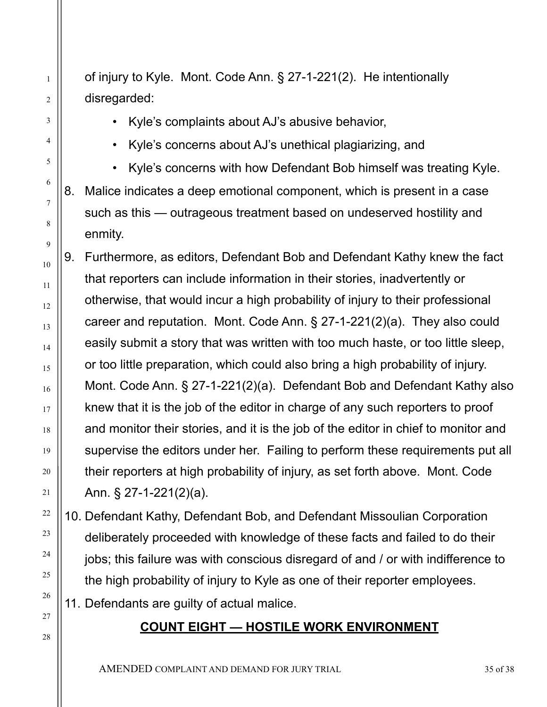of injury to Kyle. Mont. Code Ann. § 27-1-221(2). He intentionally disregarded:

• Kyle's complaints about AJ's abusive behavior,

1

2

3

4

5

6

7

8

9

10

11

12

13

14

15

16

17

18

19

20

21

22

23

24

25

26

27

28

• Kyle's concerns about AJ's unethical plagiarizing, and

• Kyle's concerns with how Defendant Bob himself was treating Kyle. 8. Malice indicates a deep emotional component, which is present in a case

such as this — outrageous treatment based on undeserved hostility and enmity.

9. Furthermore, as editors, Defendant Bob and Defendant Kathy knew the fact that reporters can include information in their stories, inadvertently or otherwise, that would incur a high probability of injury to their professional career and reputation. Mont. Code Ann. § 27-1-221(2)(a). They also could easily submit a story that was written with too much haste, or too little sleep, or too little preparation, which could also bring a high probability of injury. Mont. Code Ann. § 27-1-221(2)(a). Defendant Bob and Defendant Kathy also knew that it is the job of the editor in charge of any such reporters to proof and monitor their stories, and it is the job of the editor in chief to monitor and supervise the editors under her. Failing to perform these requirements put all their reporters at high probability of injury, as set forth above. Mont. Code Ann. § 27-1-221(2)(a).

10. Defendant Kathy, Defendant Bob, and Defendant Missoulian Corporation deliberately proceeded with knowledge of these facts and failed to do their jobs; this failure was with conscious disregard of and / or with indifference to the high probability of injury to Kyle as one of their reporter employees.

11. Defendants are guilty of actual malice.

# **COUNT EIGHT — HOSTILE WORK ENVIRONMENT**

AMENDED COMPLAINT AND DEMAND FOR JURY TRIAL 35 OF 38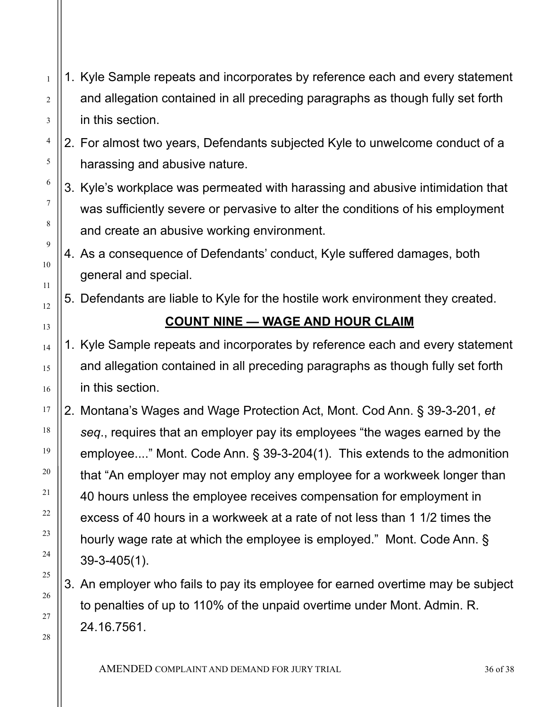- 1 2 3 1. Kyle Sample repeats and incorporates by reference each and every statement and allegation contained in all preceding paragraphs as though fully set forth in this section.
	- 2. For almost two years, Defendants subjected Kyle to unwelcome conduct of a harassing and abusive nature.

4

5

6

7

8

9

10

11

12

13

14

15

16

17

18

19

20

21

22

23

24

25

26

27

28

- 3. Kyle's workplace was permeated with harassing and abusive intimidation that was sufficiently severe or pervasive to alter the conditions of his employment and create an abusive working environment.
	- 4. As a consequence of Defendants' conduct, Kyle suffered damages, both general and special.
	- 5. Defendants are liable to Kyle for the hostile work environment they created.

# **COUNT NINE — WAGE AND HOUR CLAIM**

- 1. Kyle Sample repeats and incorporates by reference each and every statement and allegation contained in all preceding paragraphs as though fully set forth in this section.
- 2. Montana's Wages and Wage Protection Act, Mont. Cod Ann. § 39-3-201, *et seq*., requires that an employer pay its employees "the wages earned by the employee...." Mont. Code Ann. § 39-3-204(1). This extends to the admonition that "An employer may not employ any employee for a workweek longer than 40 hours unless the employee receives compensation for employment in excess of 40 hours in a workweek at a rate of not less than 1 1/2 times the hourly wage rate at which the employee is employed." Mont. Code Ann. § 39-3-405(1).
	- 3. An employer who fails to pay its employee for earned overtime may be subject to penalties of up to 110% of the unpaid overtime under Mont. Admin. R. 24.16.7561.
		- AMENDED COMPLAINT AND DEMAND FOR JURY TRIAL 36 OF 38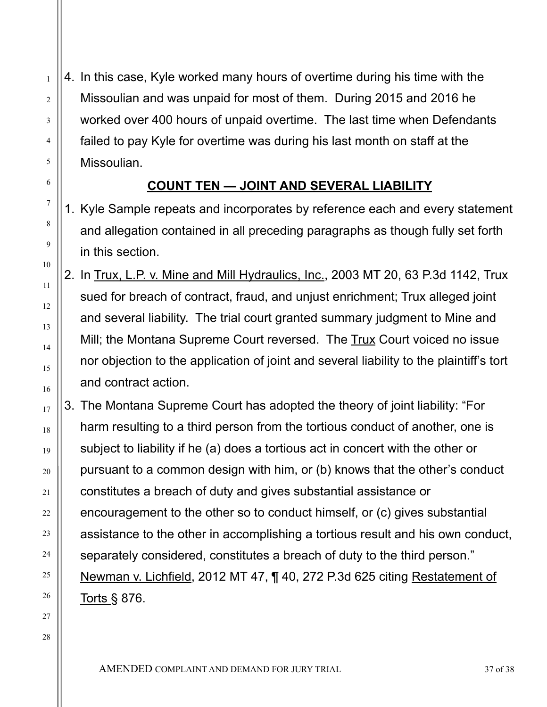4. In this case, Kyle worked many hours of overtime during his time with the Missoulian and was unpaid for most of them. During 2015 and 2016 he worked over 400 hours of unpaid overtime. The last time when Defendants failed to pay Kyle for overtime was during his last month on staff at the Missoulian.

### **COUNT TEN — JOINT AND SEVERAL LIABILITY**

- 1. Kyle Sample repeats and incorporates by reference each and every statement and allegation contained in all preceding paragraphs as though fully set forth in this section.
- 2. In Trux, L.P. v. Mine and Mill Hydraulics, Inc., 2003 MT 20, 63 P.3d 1142, Trux sued for breach of contract, fraud, and unjust enrichment; Trux alleged joint and several liability. The trial court granted summary judgment to Mine and Mill; the Montana Supreme Court reversed. The Trux Court voiced no issue nor objection to the application of joint and several liability to the plaintiff's tort and contract action.
- 3. The Montana Supreme Court has adopted the theory of joint liability: "For harm resulting to a third person from the tortious conduct of another, one is subject to liability if he (a) does a tortious act in concert with the other or pursuant to a common design with him, or (b) knows that the other's conduct constitutes a breach of duty and gives substantial assistance or encouragement to the other so to conduct himself, or (c) gives substantial assistance to the other in accomplishing a tortious result and his own conduct, separately considered, constitutes a breach of duty to the third person." Newman v. Lichfield, 2012 MT 47, ¶ 40, 272 P.3d 625 citing Restatement of Torts § 876.